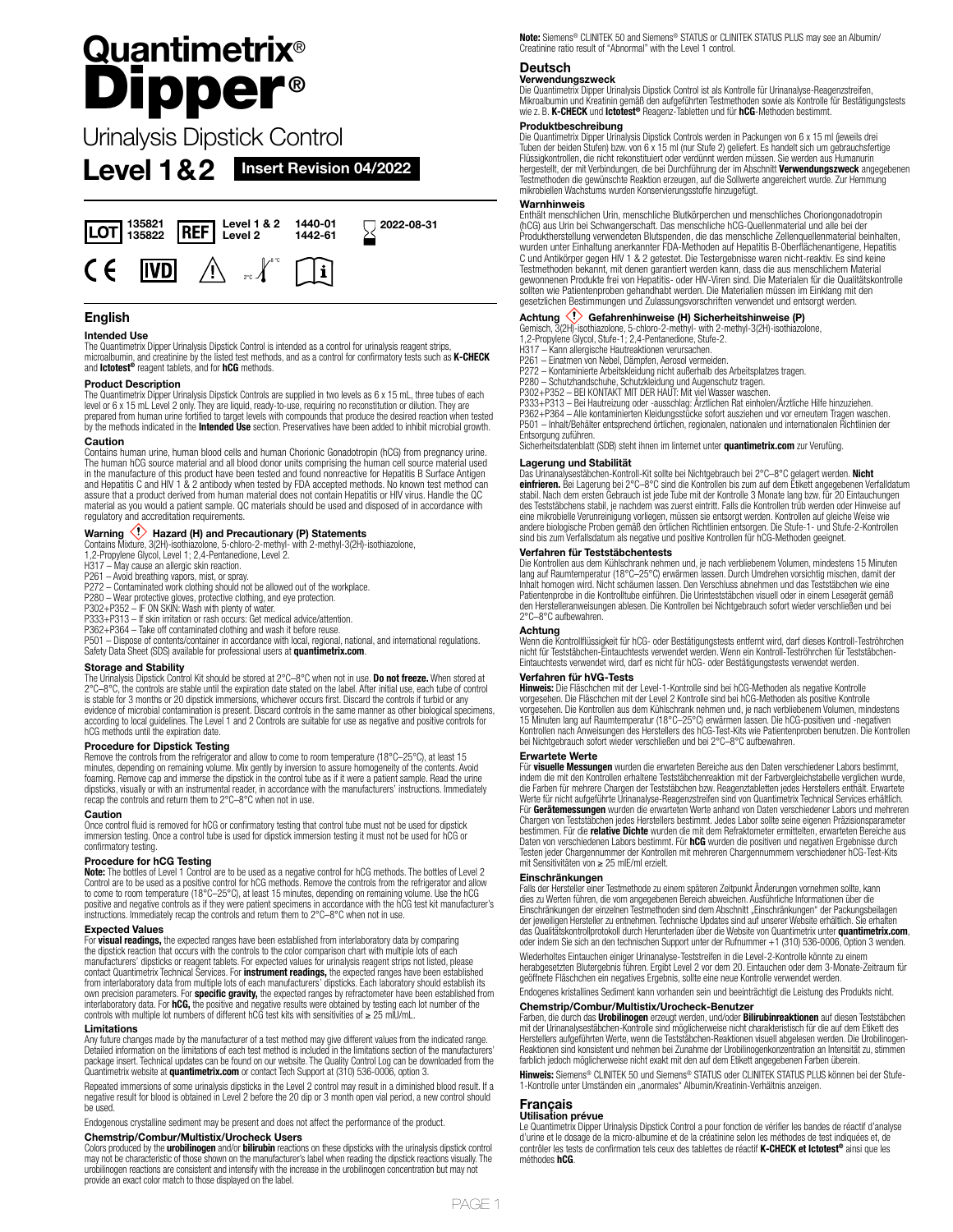# **Quantimetrix**® Dipper **®**

Urinalysis Dipstick Control

**Level 1&2 Insert Revision 04/2022**



# **English**

## **Intended Use**

The Quantimetrix Dipper Urinalysis Dipstick Control is intended as a control for urinalysis reagent strips, microalbumin, and creatinine by the listed test methods, and as a control for confirmatory tests such as **K-CHECK**  and **Ictotest®** reagent tablets, and for **hCG** methods.

### **Product Description**

The Quantimetrix Dipper Urinalysis Dipstick Controls are supplied in two levels as 6 x 15 mL, three tubes of each level or 6 x 15 mL Level 2 only. They are liquid, ready-to-use, requiring no reconstitution or dilution. They are<br>prepared from human urine fortified to target levels with compounds that produce the desired reaction when t

## **Caution**

Contains human urine, human blood cells and human Chorionic Gonadotropin (hCG) from pregnancy urine. The human hCG source material and all blood donor units comprising the human cell source material used in the manufacture of this product have been tested and found nonreactive for Hepatitis B Surface Antigen and Hepatitis C and HIV 1 & 2 antibody when tested by FDA accepted methods. No known test method can assure that a product derived from human material does not contain Hepatitis or HIV virus. Handle the QC material as you would a patient sample. QC materials should be used and disposed of in accordance with regulatory and accreditation requirements.

**Warning (!) Hazard (H) and Precautionary (P) Statements<br>Contains Mixture, 3(2H)-isothiazolone, 5-chloro-2-methyl-with 2-methyl-3(2H)-isothiazolone,<br>1,2-Propylene Glycol, Level 1; 2,4-Pentanedione, Level 2.** 

- H317 May cause an allergic skin reaction.
- 
- P261 Avoid breathing vapors, mist, or spray. P272 Contaminated work clothing should not be allowed out of the workplace.
- 
- 
- 

P280 – Wear protective gloves, protective clothing, and eye protection.<br>P302+P352 – IF ON SKIN: Wash with plenty of water.<br>P333+P313 – If skin irritation or rash occurs: Get medical advice/attention.<br>P362+P364 – Take off c

Safety Data Sheet (SDS) available for professional users at **quantimetrix.com**.

# **Storage and Stability**

The Urinalysis Dipstick Control Kit should be stored at 2°C–8°C when not in use. **Do not freeze.** When stored at<br>2°C–8°C, the controls are stable until the expiration date stated on the label. After initial use, each tube is stable for 3 months or 20 dipstick immersions, whichever occurs first. Discard the controls if turbid or any evidence of microbial contamination is present. Discard controls in the same manner as other biological specimens, according to local guidelines. The Level 1 and 2 Controls are suitable for use as negative and positive controls for hCG methods until the expiration date.

## **Procedure for Dipstick Testing**

Remove the controls from the refrigerator and allow to come to room temperature (18°C–25°C), at least 15 minutes, depending on remaining volume. Mix gently by inversion to assure homogeneity of the contents. Avoid foaming. Remove cap and immerse the dipstick in the control tube as if it were a patient sample. Read the urine<br>dipsticks, visually or with an instrumental reader, in accordance with the manufacturers' instructions. Immedi recap the controls and return them to 2°C–8°C when not in use.

## **Caution**

Once control fluid is removed for hCG or confirmatory testing that control tube must not be used for dipstick immersion testing. Once a control tube is used for dipstick immersion testing it must not be used for hCG or confirmatory testing.

# **Procedure for hCG Testing**

**Note:** The bottles of Level 1 Control are to be used as a negative control for hCG methods. The bottles of Level 2<br>Control are to be used as a positive control for hCG methods. Remove the controls from the refrigerator an to come to room temperature (18°C–25°C), at least 15 minutes, depending on remaining volume. Use the hCG positive and negative controls as if they were patient specimens in accordance with the hCG test kit manufacturer's instructions. Immediately recap the controls and return them to 2°C–8°C when not in use.

# **Expected Values**

For **visual readings,** the expected ranges have been established from interlaboratory data by comparing<br>the dipstick reaction that occurs with the controls to the color comparison chart with multiple lots of each<br>manufactu contact Quantimetrix Technical Services. For **instrument readings,** the expected ranges have been established<br>from interlaboratory data from multiple lots of each manufacturers' dipsticks. Each laboratory should establish interlaboratory data. For **hCG,** the positive and negative results were obtained by testing each lot number of the<br>controls with multiple lot numbers of different hCG test kits with sensitivities of ≥ 25 mIU/mL.

### **Limitations**

Any future changes made by the manufacturer of a test method may give different values from the indicated range.<br>Detailed information on the limitations of each test method is included in the limitations section of the man package insert. Technical updates can be found on our website. The Quality Control Log can be downloaded from the<br>Quantimetrix website at **quantimetrix.com** or contact Tech Support at (310) 536-0006, option 3.

Repeated immersions of some urinalysis dipsticks in the Level 2 control may result in a diminished blood result. If a<br>negative result for blood is obtained in Level 2 before the 20 dip or 3 month open vial period, a new co

Endogenous crystalline sediment may be present and does not affect the performance of the product. **Chemstrip/Combur/Multistix/Urocheck Users**

Colors produced by the **urobilinogen** and/or **bilirubin** reactions on these dipsticks with the urinalysis dipstick control<br>may not be characteristic of those shown on the manufacturer's label when reading the dipstick reac urobilinogen reactions are consistent and intensify with the increase in the urobilinogen concentration but may not provide an exact color match to those displayed on the label.

**Note:** Siemens® CLINITEK 50 and Siemens® STATUS or CLINITEK STATUS PLUS may see an Albumin/ Creatinine ratio result of "Abnormal" with the Level 1 control.

# **Deutsch**

**Verwendungszweck** Die Quantimetrix Dipper Urinalysis Dipstick Control ist als Kontrolle für Urinanalyse-Reagenzstreifen, Mikroalbumin und Kreatinin gemäß den aufgeführten Testmethoden sowie als Kontrolle für Bestätigungstests wie z. B. **K-CHECK** und **Ictotest®** Reagenz-Tabletten und für **hCG**-Methoden bestimmt.

**Produktbeschreibung** Die Quantimetrix Dipper Urinalysis Dipstick Controls werden in Packungen von 6 x 15 ml (jeweils drei Tuben der beiden Stufen) bzw. von 6 x 15 ml (nur Stufe 2) geliefert. Es handelt sich um gebrauchsfertige Flüssigkontrollen, die nicht rekonstituiert oder verdünnt werden müssen. Sie werden aus Humanurin hergestellt, der mit Verbindungen, die bei Durchführung der im Abschnitt **Verwendungszweck** angegebenen Testmethoden die gewünschte Reaktion erzeugen, auf die Sollwerte angereichert wurde. Zur Hemmung mikrobiellen Wachstums wurden Konservierungsstoffe hinzugefügt.

### **Warnhinweis**

Enthält menschlichen Urin, menschliche Blutkörperchen und menschliches Choriongonadotropin (hCG) aus Urin bei Schwangerschaft. Das menschliche hCG-Quellenmaterial und alle bei der Produktherstellung verwendeten Blutspenden, die das menschliche Zellenquellenmaterial beinhalten, wurden unter Einhaltung anerkannter FDA-Methoden auf Hepatitis B-Oberflächenantigene, Hepatitis C und Antikörper gegen HIV 1 & 2 getestet. Die Testergebnisse waren nicht-reaktiv. Es sind keine Testmethoden bekannt, mit denen garantiert werden kann, dass die aus menschlichem Material gewonnenen Produkte frei von Hepatitis- oder HIV-Viren sind. Die Materialen für die Qualitätskontrolle sollten wie Patientenproben gehandhabt werden. Die Materialien müssen im Einklang mit den gesetzlichen Bestimmungen und Zulassungsvorschriften verwendet und entsorgt werden.

**Achtung <ゾ Gefahrenhinweise (H) Sicherheitshinweise (P)**<br>Gemisch, 3(2H)-isothiazolone, 5-chloro-2-methyl- with 2-methyl-3(2H)-isothiazolone,<br>1,2-Propylene Glycol, Stufe-1; 2,4-Pentanedione, Stufe-2.<br>H317 – Kann allergisch

- 
- 
- 
- 
- 
- 

P261 – Einatmen von Nebel, Dämpfen, Aerosol vermeiden.<br>P272 – Kontaminierte Arbeitskeleidung nicht außerhalb des Arbeitsplatzes tragen.<br>P280 – Schutzhandschuhe, Schutzkleidung und Augenschutz tragen.<br>P302+P352 – BEI KONTAK Entsorgung zuführen.

Sicherheitsdatenblatt (SDB) steht ihnen im Iinternet unter **quantimetrix.com** zur Verufüng.

# **Lagerung und Stabilität**

Das Urinanalysestäbchen-Kontroll-Kit sollte bei Nichtgebrauch bei 2°C–8°C gelagert werden. **Nicht einfrieren.** Bei Lagerung bei 2°C–8°C sind die Kontrollen bis zum auf dem Etikett angegebenen Verfalldatum stabil. Nach dem ersten Gebrauch ist jede Tube mit der Kontrolle 3 Monate lang bzw. für 20 Eintauchungen<br>des Teststäbchens stabil, je nachdem was zuerst eintritt. Falls die Kontrollen trüb werden oder Hinweise auf eine mikrobielle Verunreinigung vorliegen, müssen sie entsorgt werden. Kontrollen auf gleiche Weise wie<br>andere biologische Proben gemäß den örtlichen Richtlinien entsorgen. Die Stufe-1- und Stufe-2-Kontrollen<br>sind bis zum

### **Verfahren für Teststäbchentests**

Die Kontrollen aus dem Kühlschrank nehmen und, je nach verbliebenem Volumen, mindestens 15 Minuten<br>lang auf Raumtemperatur (18°C–25°C) erwärmen lassen. Durch Umdrehen vorsichtig mischen, damit der<br>Inhalt homogen wird. Nich Patientenprobe in die Kontrolltube einführen. Die Urinteststäbchen visuell oder in einem Lesegerät gemäß den Herstelleranweisungen ablesen. Die Kontrollen bei Nichtgebrauch sofort wieder verschließen und bei 2°C–8°C aufbewahren.

**Achtung** Wenn die Kontrollflüssigkeit für hCG- oder Bestätigungstests entfernt wird, darf dieses Kontroll-Teströhrchen nicht für Teststäbchen-Eintauchtests verwendet werden. Wenn ein Kontroll-Teströhrchen für Teststäbchen-Eintauchtests verwendet wird, darf es nicht für hCG- oder Bestätigungstests verwendet werden.

### **Verfahren für hVG-Tests**

**Hinweis:** Die Fläschchen mit der Level-1-Kontrolle sind bei hCG-Methoden als negative Kontrolle vorgesehen. Die Fläschchen mit der Level 2 Kontrolle sind bei hCG-Methoden als positive Kontrolle vorgesehen. Die Kontrollen aus dem Kühlschrank nehmen und, je nach verbliebenem Volumen, mindestens 15 Minuten lang auf Raumtemperatur (18°C–25°C) erwärmen lassen. Die hCG-positiven und -negativen Kontrollen nach Anweisungen des Herstellers des hCG-Test-Kits wie Patientenproben benutzen. Die Kontrollen bei Nichtgebrauch sofort wieder verschließen und bei 2°C–8°C aufbewahren.

### **Erwartete Werte**

Für **visuelle Messungen** wurden die erwarteten Bereiche aus den Daten verschiedener Labors bestimmt,<br>indem die mit den Kontrollen erhaltene Teststäbchenreaktion mit der Farbvergleichstabelle verglichen wurde,<br>die Farben fü Werte für nicht aufgeführte Urinanalyse-Reagenzstreifen sind von Quantimetrix Technical Services erhältlich. Für **Gerätemessungen** wurden die erwarteten Werte anhand von Daten verschiedener Labors und mehreren Chargen von Teststäbchen jedes Herstellers bestimmt. Jedes Labor sollte seine eigenen Präzisionsparameter bestimmen. Für die **relative Dichte** wurden die mit dem Refraktometer ermittelten, erwarteten Bereiche aus Daten von verschiedenen Labors bestimmt. Für **hCG** wurden die positiven und negativen Ergebnisse durch Testen jeder Chargennummer der Kontrollen mit mehreren Chargennummern verschiedener hCG-Test-Kits mit Sensitivitäten von ≥ 25 mIE/ml erzielt.

# **Einschränkungen**

Falls der Hersteller einer Testmethode zu einem späteren Zeitpunkt Änderungen vornehmen sollte, kann dies zu Werten führen, die vom angegebenen Bereich abweichen. Ausführliche Informationen über die Einschränkungen der einzelnen Testmethoden sind dem Abschnitt "Einschränkungen" der Packungsbeilagen<br>der jeweiligen Hersteller zu entnehmen. Technische Updates sind auf unserer Website erhältlich. Sie erhalten das Qualitätskontrollprotokoll durch Herunterladen über die Website von Quantimetrix unter **quantimetrix.com**, oder indem Sie sich an den technischen Support unter der Rufnummer +1 (310) 536-0006, Option 3 wenden.

Wiederholtes Eintauchen einiger Urinanalyse-Teststreifen in die Level-2-Kontrolle könnte zu einem<br>herabgesetzten Blutergebnis führen. Ergibt Level 2 vor dem 20. Eintauchen oder dem 3-Monate-Zeitraum für<br>geöffnete Fläschche

Endogenes kristallines Sediment kann vorhanden sein und beeinträchtigt die Leistung des Produkts nicht.

### **Chemstrip/Combur/Multistix/Urocheck-Benutzer**

Farben, die durch das **Urobilinogen** erzeugt werden, und/oder **Bilirubinreaktionen** auf diesen Teststäbchen mit der Urinanalysestäbchen-Kontrolle sind möglicherweise nicht charakteristisch für die auf dem Etikett des Herstellers aufgeführten Werte, wenn die Teststäbchen-Reaktionen visuell abgelesen werden. Die Urobilinogen-Reaktionen sind konsistent und nehmen bei Zunahme der Urobilinogenkonzentration an Intensität zu, stimmen<br>farblich jedoch möglicherweise nicht exakt mit den auf dem Etikett angegebenen Farben überein.

**Hinweis:** Siemens® CLINITEK 50 und Siemens® STATUS oder CLINITEK STATUS PLUS können bei der Stufe-1-Kontrolle unter Umständen ein "anormales" Albumin/Kreatinin-Verhältnis anzeigen.

# **Français**

**Utilisation prévue** Le Quantimetrix Dipper Urinalysis Dipstick Control a pour fonction de vérifier les bandes de réactif d'analyse d'urine et le dosage de la micro-albumine et de la créatinine selon les méthodes de test indiquées et, de contrôler les tests de confirmation tels ceux des tablettes de réactif **K-CHECK et Ictotest®** ainsi que les méthodes **hCG**.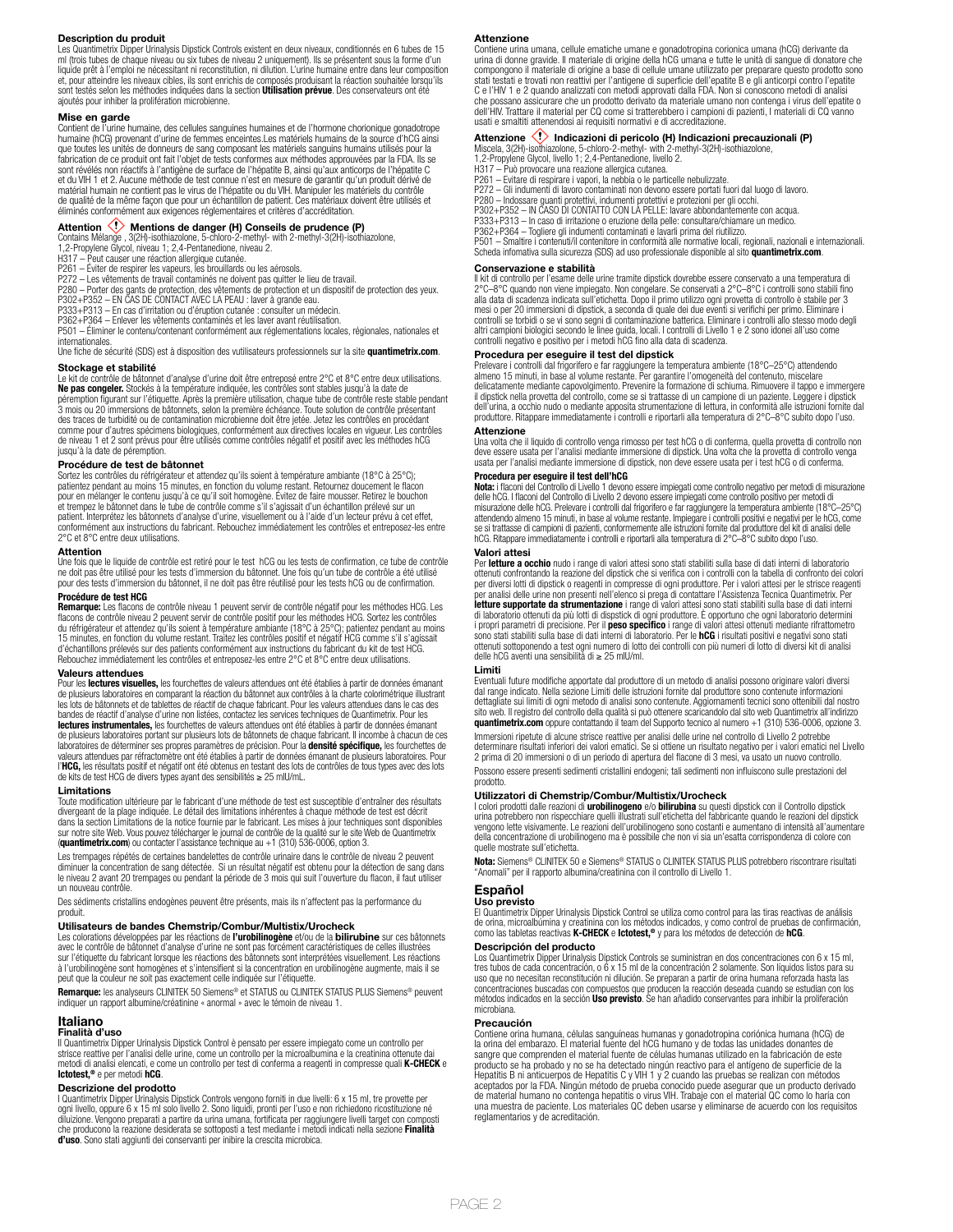### **Description du produit**

Les Quantimetrix Dipper Urinalysis Dipstick Controls existent en deux niveaux, conditionnés en 6 tubes de 15 ml (trois tubes de chaque niveau ou six tubes de niveau 2 uniquement). Ils se présentent sous la forme d'un liquide prêt à l'emploi ne nécessitant ni reconstitution, ni dilution. L'urine humaine entre dans leur composition et, pour atteindre les niveaux cibles, ils sont enrichis de composés produisant la réaction souhaitée lorsqu'ils<br>sont testés selon les méthodes indiquées dans la section **Utilisation prévue**. Des conservateurs ont été ajoutés pour inhiber la prolifération microbienne.

**Mise en garde** Contient de l'urine humaine, des cellules sanguines humaines et de l'hormone chorionique gonadotrope humaine (hCG) provenant d'urine de femmes enceintes.Les matériels humains de la source d'hCG ainsi que toutes les unités de donneurs de sang composant les matériels sanguins humains utilisés pour la fabrication de ce produit ont fait l'objet de tests conformes aux méthodes approuvées par la FDA. Ils se sont révélés non réactifs à l'antigène de surface de l'hépatite B, ainsi qu'aux anticorps de l'hépatite C<br>et du VIH 1 et 2. Aucune méthode de test connue n'est en mesure de garantir qu'un produit dérivé de<br>matérial humain de qualité de la même façon que pour un échantillon de patient. Ces matériaux doivent être utilisés et éliminés conformément aux exigences réglementaires et critères d'accréditation.

**Attention <\*>** Mentions de danger (H) Conseils de prudence (P)<br>Contains Mélange, 3(2H)-isothiazolone, 5-chloro-2-methyl- with 2-methyl-3(2H)-isothiazolone,<br>1,2-Propylene Glycol, niveau 1; 2,4-Pentanedione, niveau 2.<br>H317

P261 – Eviter de respirer les vapeurs, les brouillards ou les aérosols.<br>P272 – Les vêtements de travail contaminés ne doivent pas quitter le lieu de travail.<br>P280 – Porter des gants de protection, des vêtements de protecti

P333+P313 – En cas d'irritation ou d'éruption cutanée : consulter un médecin. P362+P364 – Enlever les vêtements contaminés et les laver avant réutilisation.

P501 – Éliminer le contenu/contenant conformément aux réglementations locales, régionales, nationales et internationales. Une fiche de sécurité (SDS) est à disposition des vutilisateurs professionnels sur la site **quantimetrix.com**.

**Stockage et stabilité**

Le kit de contrôle de bâtonnet d'analyse d'urine doit être entreposé entre 2°C et 8°C entre deux utilisations. **Ne pas congeler.** Stockés à la température indiquée, les contrôles sont stables jusqu'à la date de<br>péremption figurant sur l'étiquette. Après la première utilisation, chaque tube de contrôle reste stable pendant<br>3 mois ou comme pour d'autres spécimens biologiques, conformément aux directives locales en vigueur. Les contrôles de niveau 1 et 2 sont prévus pour être utilisés comme contrôles négatif et positif avec les méthodes hCG jusqu'à la date de péremption.

### **Procédure de test de bâtonnet**

Sortez les contrôles du réfrigérateur et attendez qu'ils soient à température ambiante (18°C à 25°C); patientez pendant au moins 15 minutes, en fonction du volume restant. Retournez doucement le flacon<br>pour en mélanger le contenu jusqu'à ce qu'il soit homogène. Évitez de faire mousser. Retirez le bouchon<br>et trempez le bâto 2°C et 8°C entre deux utilisations.

### **Attention**

Une fois que le liquide de contrôle est retiré pour le test hCG ou les tests de confirmation, ce tube de contrôle<br>ne doit pas être utilisé pour les tests d'immersion du bâtonnet. Une fois qu'un tube de contrôle a été util

# **Procédure de test HCG**

**Remarque:** Les flacons de contrôle niveau 1 peuvent servir de contrôle négatif pour les méthodes HCG. Les flacons de contrôle niveau 2 peuvent servir de contrôle positif pour les méthodes HCG. Sortez les contrôles<br>du réfrigérateur et attendez qu'ils soient à température ambiante (18°C à 25°C); patientez pendant au moins<br>15 min d'échantillons prélevés sur des patients conformément aux instructions du fabricant du kit de test HCG. Rebouchez immédiatement les contrôles et entreposez-les entre 2°C et 8°C entre deux utilisations.

**Valeurs attendues** Pour les **lectures visuelles,** les fourchettes de valeurs attendues ont été établies à partir de données émanant de plusieurs laboratoires en comparant la réaction du bâtonnet aux contrôles à la charte colorimétrique illustrant les lots de bâtonnets et de tablettes de réactif de chaque fabricant. Pour les valeurs attendues dans le cas des bandes de réactif d'analyse d'urine non listées, contactez les services techniques de Quantimetrix. Pour les **lectures instrumentales,** les fourchettes de valeurs attendues ont été établies à partir de données émanant<br>de plusieurs laboratoires portant sur plusieurs lots de bâtonnets de chaque fabricant. Il incombe à chacun de ces l'**HCG,** les résultats positif et négatif ont été obtenus en testant des lots de contrôles de tous types avec des lots<br>de kits de test HCG de divers types ayant des sensibilités ≥ 25 mIU/mL.

### **Limitations**

Toute modification ultérieure par le fabricant d'une méthode de test est susceptible d'entraîner des résultats divergeant de la plage indiquée. Le détail des limitations inhérentes à chaque méthode de test est décrit<br>dans la section Limitations de la notice fournie par le fabricant. Les mises à jour techniques sont disponibles<br>sur

Les trempages répétés de certaines bandelettes de contrôle urinaire dans le contrôle de niveau 2 peuvent<br>diminuer la concentration de sang détectée. Si un résultat négatif est obtenu pour la détection de sang dans<br>le nivea un nouveau contrôle.

Des sédiments cristallins endogènes peuvent être présents, mais ils n'affectent pas la performance du produit.

**Utilisateurs de bandes Chemstrip/Combur/Multistix/Urocheck** Les colorations développées par les réactions de **l'urobilinogène** et/ou de la **bilirubine** sur ces bâtonnets avec le contrôle de bâtonnet d'analyse d'urine ne sont pas forcément caractéristiques de celles illustrées sur l'étiquette du fabricant lorsque les réactions des bâtonnets sont interprétées visuellement. Les réactions à l'urobilinogène sont homogènes et s'intensifient si la concentration en urobilinogène augmente, mais il se peut que la couleur ne soit pas exactement celle indiquée sur l'étiquette.

**Remarque:** les analyseurs CLINITEK 50 Siemens® et STATUS ou CLINITEK STATUS PLUS Siemens® peuvent indiquer un rapport albumine/créatinine « anormal » avec le témoin de niveau 1.

## **Italiano**

**Finalità d'uso** Il Quantimetrix Dipper Urinalysis Dipstick Control è pensato per essere impiegato come un controllo per strisce reattive per l'analisi delle urine, come un controllo per la microalbumina e la creatinina ottenute dai<br>metodi di analisi elencati, e come un controllo per test di conferma a reagenti in compresse quali **K-CHECK** e **Ictotest,®** e per metodi **hCG**.

# **Descrizione del prodotto**

I Quantimetrix Dipper Urinalysis Dipstick Controls vengono forniti in due livelli: 6 x 15 ml, tre provette per ogni livello, oppure 6 x 15 ml solo livello 2. Sono liquidi, pronti per l'uso e non richiedono ricostituzione né diluizione. Vengono preparati a partire da urina umana, fortificata per raggiungere livelli target con composti<br>che producono la reazione desiderata se sottoposti a test mediante i metodi indicati nella sezione **Finalità**<br>

### **Attenzione**

Contiene urina umana, cellule ematiche umane e gonadotropina corionica umana (hCG) derivante da urina di donne gravide. Il materiale di origine della hCG umana e tutte le unità di sangue di donatore che compongono il materiale di origine a base di cellule umane utilizzato per preparare questo prodotto sono stati testati e trovati non reattivi per l'antigene di superficie dell'epatite B e gli anticorpi contro l'epatite C e l'HIV 1 e 2 quando analizzati con metodi approvati dalla FDA. Non si conoscono metodi di analisi che possano assicurare che un prodotto derivato da materiale umano non contenga i virus dell'epatite o dell'HIV. Trattare il material per CQ come si tratterebbero i campioni di pazienti, I materiali di CQ vanno usati e smaltiti attenendosi ai requisiti normativi e di accreditazione.

# **Attenzione <V> Indicazioni di pericolo (H) Indicazioni precauzionali (P)**<br>Miscela, 3(2H)-isothiazolone, 5-chloro-2-methyl- with 2-methyl-3(2H)-isothiazolone,<br>1,2-Propylene Glycol, livello 1; 2,4-Pentanedione, livello 2.<br>H

- P261 Evitare di respirare i vapori, la nebbia o le particelle nebulizzate.
- P272 Gli indumenti di lavoro contaminati non devono essere portati fuori dal luogo di lavoro.
- P280 Indossare guanti protettivi, indumenti protettivi e protezioni per gli occhi. P302+P352 IN CASO DI CONTATTO CON LA PELLE: lavare abbondantemente con acqua.
- 
- P333+P313 In caso di irritazione o eruzione della pelle: consultare/chiamare un medico. P362+P364 Togliere gli indumenti contaminati e lavarli prima del riutilizzo.

P501 – Smaltire i contenuti/il contenitore in conformità alle normative locali, regionali, nazionali e internazionali. Scheda infomativa sulla sicurezza (SDS) ad uso professionale disponible al sito **quantimetrix.com**.

## **Conservazione e stabilità**

Il kit di controllo per l'esame delle urine tramite dipstick dovrebbe essere conservato a una temperatura di 2°C–8°C quando non viene impiegato. Non congelare. Se conservati a 2°C–8°C i controlli sono stabili fino alla data di scadenza indicata sull'etichetta. Dopo il primo utilizzo ogni provetta di controllo è stabile per 3 mesi o per 20 immersioni di dipstick, a seconda di quale dei due eventi si verifichi per primo. Eliminare i controlli se torbidi o se vi sono segni di contaminazione batterica. Eliminare i controlli allo stesso modo degli altri campioni biologici secondo le linee guida, locali. I controlli di Livello 1 e 2 sono idonei all'uso come controlli negativo e positivo per i metodi hCG fino alla data di scadenza.

# **Procedura per eseguire il test del dipstick**

Prelevare i controlli dal frigorifero e far raggiungere la temperatura ambiente (18°C–25°C) attendendo<br>almeno 15 minuti, in base al volume restante. Per garantire l'omogeneità del contenuto, miscelare<br>delicatamente mediant il dipstick nella provetta del controllo, come se si trattasse di un campione di un paziente. Leggere i dipstick<br>dell'urina, a occhio nudo o mediante apposita strumentazione di lettura, in conformità alle istruzioni fornit produttore. Ritappare immediatamente i controlli e riportarli alla temperatura di 2°C–8°C subito dopo l'uso.

# **Attenzione**

Una volta che il liquido di controllo venga rimosso per test hCG o di conferma, quella provetta di controllo non deve essere usata per l'analisi mediante immersione di dipstick. Una volta che la provetta di controllo venga usata per l'analisi mediante immersione di dipstick, non deve essere usata per i test hCG o di conferma.

# **Procedura per eseguire il test dell'hCG**

**Nota:** i flaconi del Controllo di Livello 1 devono essere impiegati come controllo negativo per metodi di misurazione<br>delle hCG. I flaconi del Controllo di Livello 2 devono essere impiegati come controllo positivo per met misurazione delle hCG. Prelevare i controlli dal frigorifero e far raggiungere la temperatura ambiente (18°C–25°C)<br>attendendo almeno 15 minuti, in base al volume restante. Impiegare i controlli positivi e negativi per le h se si trattasse di campioni di pazienti, conformemente alle istruzioni fornite dal produttore del kit di analisi delle<br>hCG. Ritappare immediatamente i controlli e riportarli alla temperatura di 2°C–8°C subito dopo l'uso.

### **Valori attesi**

Per **letture a occhio** nudo i range di valori attesi sono stati stabiliti sulla base di dati interni di laboratorio ottenuti confrontando la reazione del dipstick che si verifica con i controlli con la tabella di confronto dei colori<br>per diversi lotti di dipstick o reagenti in compresse di ogni produttore. Per i valori attesi per le str per analisi delle urine non presenti nell'elenco si prega di contattare l'Assistenza Tecnica Quantimetrix. Per<br>letture supportate da strumentazione i range di valori attesi sono stati stabiliti sulla base di dati interni **letture supportate da strumentazione** i range di valori attesi sono stati stabiliti sulla base di dati interni<br>di laboratorio ottenuti da più lotti di dispstick di ogni produttore. È opportuno che ogni laboratorio determ

### **Limiti**

Eventuali future modifiche apportate dal produttore di un metodo di analisi possono originare valori diversi dal range indicato. Nella sezione Limiti delle istruzioni fornite dal produttore sono contenute informazioni dettagliate sui limiti di ogni metodo di analisi sono contenute. Aggiornamenti tecnici sono ottenibili dal nostro<br>sito web. Il registro del controllo della qualità si può ottenere scaricandolo dal sito web Quantimetrix all **quantimetrix.com** oppure contattando il team del Supporto tecnico al numero +1 (310) 536-0006, opzione 3.

Immersioni ripetute di alcune strisce reattive per analisi delle urine nel controllo di Livello 2 potrebbe determinare risultati inferiori dei valori ematici. Se si ottiene un risultato negativo per i valori ematici nel Livello<br>2 prima di 20 immersioni o di un periodo di apertura del flacone di 3 mesi, va usato un nuovo control Possono essere presenti sedimenti cristallini endogeni; tali sedimenti non influiscono sulle prestazioni del prodotto.

**Utilizzatori di Chemstrip/Combur/Multistix/Urocheck**<br>I colori prodotti dalle reazioni di **urobilinogeno** e/o **bilirubina** su questi dipstick con il Controllo dipstick<br>urina potrebbero non rispecchiare quelli illustrati su vengono lette visivamente. Le reazioni dell'urobilinogeno sono costanti e aumentano di intensità all'aumentare della concentrazione di urobilinogeno ma è possibile che non vi sia un'esatta corrispondenza di colore con quelle mostrate sull'etichetta.

**Nota:** Siemens® CLINITEK 50 e Siemens® STATUS o CLINITEK STATUS PLUS potrebbero riscontrare risultati "Anomali" per il rapporto albumina/creatinina con il controllo di Livello 1.

# **Español**

**Uso previsto** El Quantimetrix Dipper Urinalysis Dipstick Control se utiliza como control para las tiras reactivas de análisis de orina, microalbúmina y creatinina con los métodos indicados, y como control de pruebas de confirmación, como las tabletas reactivas **K-CHECK** e **Ictotest,®** y para los métodos de detección de **hCG**.

### **Descripción del producto**

Los Quantimetrix Dipper Urinalysis Dipstick Controls se suministran en dos concentraciones con 6 x 15 ml, tres tubos de cada concentración, o 6 x 15 ml de la concentración 2 solamente. Son líquidos listos para su uso que no necesitan reconstitución ni dilución. Se preparan a partir de orina humana reforzada hasta las concentraciones buscadas con compuestos que producen la reacción deseada cuando se estudian con los métodos indicados en la sección **Uso previsto**. Se han añadido conservantes para inhibir la proliferación microbiana.

# **Precaución**

Contiene orina humana, células sanguíneas humanas y gonadotropina coriónica humana (hCG) de<br>la orina del embarazo. El material fuente del hCG humano y de todas las unidades donantes de<br>sangre que comprenden el material fue reglamentarios y de acreditación.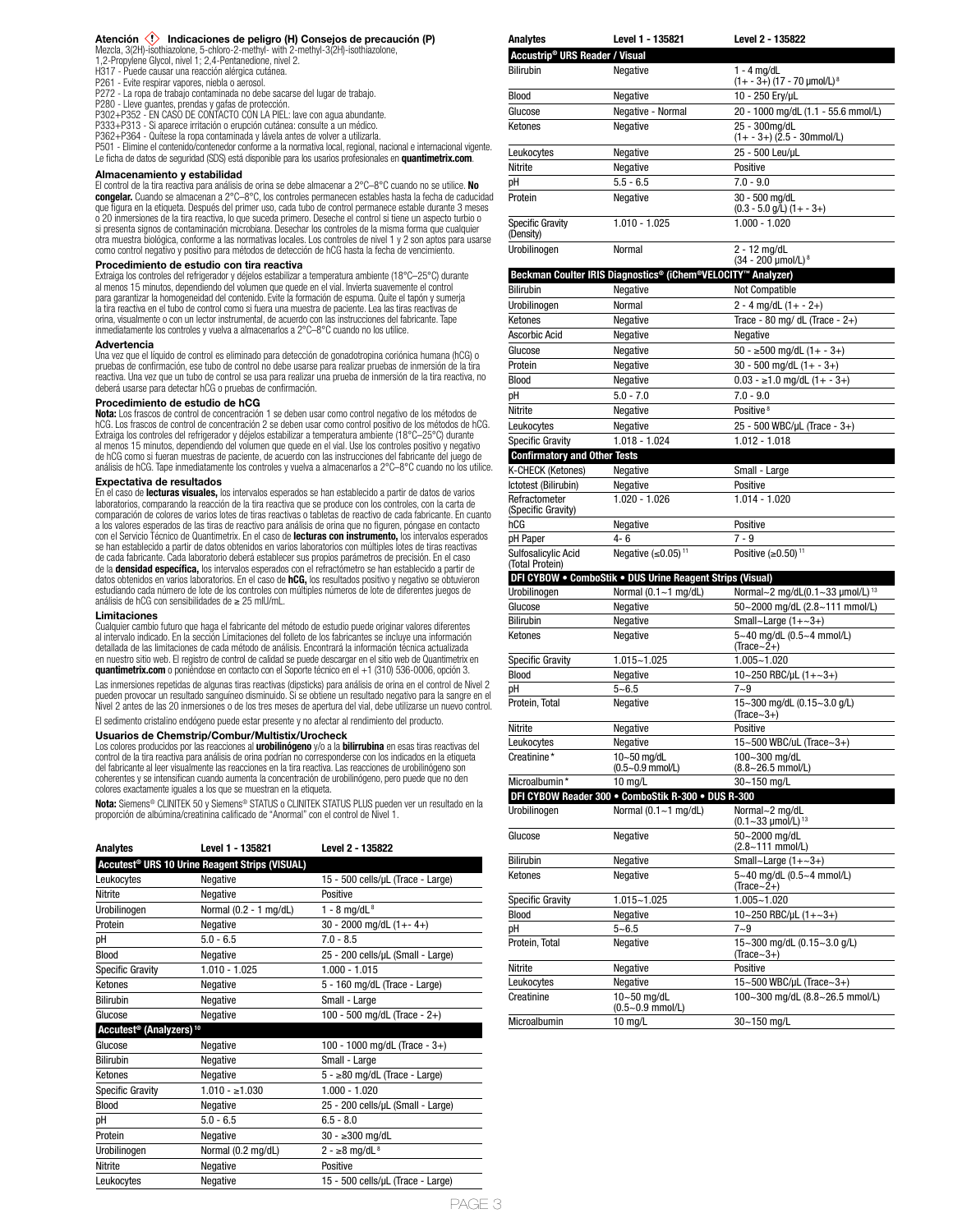**Atención 〈!〉 Indicaciones de peligro (H) Consejos de precaución (P)**<br>Mezcla, 3(2H)-isothiazolone, 5-chloro-2-methyl- with 2-methyl-3(2H)-isothiazolone,<br>1,2-Propylene Glycol, nivel 1; 2,4-Pentanedione, nivel 2.

H317 - Puede causar una reacción alérgica cutánea.

- P261 Evite respirar vapores, niebla o aerosol.
- P272 La ropa de trabajo contaminada no debe sacarse del lugar de trabajo. P280 Lleve guantes, prendas y gafas de protección.
- 
- P302+P352 EN CASO DE CONTACTO CON LA PIEL: lave con agua abundante.<br>P333+P313 Si aparece irritación o erupción cutánea: consulte a un médico.<br>P362+P364 Quitese la ropa contaminada y lávela antes de volver a utilizarl
- 

P501 - Elimine el contenido/contenedor conforme a la normativa local, regional, nacional e internacional vigente.

Le ficha de datos de seguridad (SDS) está disponible para los usarios profesionales en **quantimetrix.com**.

# **Almacenamiento y estabilidad**

El control de la tira reactiva para análisis de orina se debe almacenar a 2°C–8°C cuando no se utilice. **No congelar.** Cuando se almacenan a 2°C–8°C, los controles permanecen estables hasta la fecha de caducidad que figura en la etiqueta. Después del primer uso, cada tubo de control permanece estable durante 3 meses o 20 inmersiones de la tira reactiva, lo que suceda primero. Deseche el control si tiene un aspecto turbio o si presenta signos de contaminación microbiana. Desechar los controles de la misma forma que cualquier otra muestra biológica, conforme a las normativas locales. Los controles de nivel 1 y 2 son aptos para usarse como control negativo y positivo para métodos de detección de hCG hasta la fecha de vencimiento.

# **Procedimiento de estudio con tira reactiva**

Extraiga los controles del refrigerador y déjelos estabilizar a temperatura ambiente (18°C–25°C) durante<br>al menos 15 minutos, dependiendo del volumen que quede en el vial. Invierta suavemente el control<br>para garantizar la la tira reactiva en el tubo de control como si fuera una muestra de paciente. Lea las tiras reactivas de orina, visualmente o con un lector instrumental, de acuerdo con las instrucciones del fabricante. Tape inmediatamente los controles y vuelva a almacenarlos a 2°C–8°C cuando no los utilice.

# **Advertencia**

Una vez que el líquido de control es eliminado para detección de gonadotropina coriónica humana (hCG) o pruebas de confirmación, ese tubo de control no debe usarse para realizar pruebas de inmersión de la tira reactiva. Una vez que un tubo de control se usa para realizar una prueba de inmersión de la tira reactiva, no deberá usarse para detectar hCG o pruebas de confirmación.

# **Procedimiento de estudio de hCG**

**Nota:** Los frascos de control de concentración 1 se deben usar como control negativo de los métodos de hCG. Los frascos de control de concentración 2 se deben usar como control positivo de los métodos de hCG. Extraiga los controles del refrigerador y déjelos estabilizar a temperatura ambiente (18°C–25°C) durante al menos 15 minutos, dependiendo del volumen que quede en el vial. Use los controles positivo y negativo de hCG como si fueran muestras de paciente, de acuerdo con las instrucciones del fabricante del juego de análisis de hCG. Tape inmediatamente los controles y vuelva a almacenarlos a 2°C–8°C cuando no los utilice.

# **Expectativa de resultados**

En el caso de **lecturas visuales,** los intervalos esperados se han establecido a partir de datos de varios laboratorios, comparando la reacción de la tira reactiva que se produce con los controles, con la carta de comparación de colores de varios lotes de tiras reactivas o tabletas de reactivo de cada fabricante. En cuanto a los valores esperados de las tiras de reactivo para análisis de orina que no figuren, póngase en contacto con el Servicio Técnico de Quantimetrix. En el caso de **lecturas con instrumento,** los intervalos esperados<br>se han establecido a partir de datos obtenidos en varios laboratorios con múltiples lotes de tiras reactivas de cada fabricante. Cada laboratorio deberá establecer sus propios parámetros de precisión. En el caso de la **densidad específica,** los intervalos esperados con el refractómetro se han establecido a partir de<br>datos obtenidos en varios laboratorios. En el caso de **hCG,** los resultados positivo y negativo se obtuvieron estudiando cada número de lote de los controles con múltiples números de lote de diferentes juegos de análisis de hCG con sensibilidades de ≥ 25 mIU/mL.

### **Limitaciones**

Cualquier cambio futuro que haga el fabricante del método de estudio puede originar valores diferentes al intervalo indicado. En la sección Limitaciones del folleto de los fabricantes se incluye una información detallada de las limitaciones de cada método de análisis. Encontrará la información técnica actualizada en nuestro sitio web. El registro de control de calidad se puede descargar en el sitio web de Quantimetrix en **quantimetrix.com** o poniéndose en contacto con el Soporte técnico en el +1 (310) 536-0006, opción 3.

Las inmersiones repetidas de algunas tiras reactivas (dipsticks) para análisis de orina en el control de Nivel 2 pueden provocar un resultado sanguíneo disminuido. Si se obtiene un resultado negativo para la sangre en el Nivel 2 antes de las 20 inmersiones o de los tres meses de apertura del vial, debe utilizarse un nuevo control. El sedimento cristalino endógeno puede estar presente y no afectar al rendimiento del producto.

### **Usuarios de Chemstrip/Combur/Multistix/Urocheck**

Los colores producidos por las reacciones al **urobilinógeno** y/o a la **bilirrubina** en esas tiras reactivas del<br>control de la tira reactiva para análisis de orina podrían no corresponderse con los indicados en la etiqueta del fabricante al leer visualmente las reacciones en la tira reactiva. Las reacciones de urobilinógeno son coherentes y se intensifican cuando aumenta la concentración de urobilinógeno, pero puede que no den colores exactamente iguales a los que se muestran en la etiqueta.

**Nota:** Siemens® CLINITEK 50 y Siemens® STATUS o CLINITEK STATUS PLUS pueden ver un resultado en la proporción de albúmina/creatinina calificado de "Anormal" con el control de Nivel 1.

| <b>Analytes</b>                                 | Level 1 - 135821                                           | Level 2 - 135822                   |
|-------------------------------------------------|------------------------------------------------------------|------------------------------------|
|                                                 | Accutest <sup>®</sup> URS 10 Urine Reagent Strips (VISUAL) |                                    |
| Leukocytes                                      | Negative                                                   | 15 - 500 cells/µL (Trace - Large)  |
| Nitrite                                         | Negative                                                   | Positive                           |
| Urobilinogen                                    | Normal (0.2 - 1 mg/dL)                                     | 1 - 8 mg/dL $8$                    |
| Protein                                         | Negative                                                   | $30 - 2000$ mg/dL $(1 + - 4)$      |
| рH                                              | $5.0 - 6.5$                                                | $7.0 - 8.5$                        |
| <b>Blood</b>                                    | Negative                                                   | 25 - 200 cells/µL (Small - Large)  |
| <b>Specific Gravity</b>                         | $1.010 - 1.025$                                            | $1.000 - 1.015$                    |
| Ketones                                         | Negative                                                   | 5 - 160 mg/dL (Trace - Large)      |
| <b>Bilirubin</b>                                | Negative                                                   | Small - Large                      |
| Glucose                                         | Negative                                                   | 100 - 500 mg/dL (Trace - 2+)       |
| Accutest <sup>®</sup> (Analyzers) <sup>10</sup> |                                                            |                                    |
| Glucose                                         | Negative                                                   | 100 - 1000 mg/dL (Trace - $3+$ )   |
| <b>Bilirubin</b>                                | Negative                                                   | Small - Large                      |
| Ketones                                         | Negative                                                   | $5 - \ge 80$ mg/dL (Trace - Large) |
| <b>Specific Gravity</b>                         | $1.010 - 1.030$                                            | $1.000 - 1.020$                    |
| Blood                                           | Negative                                                   | 25 - 200 cells/µL (Small - Large)  |
| рH                                              | $5.0 - 6.5$                                                | $6.5 - 8.0$                        |
| Protein                                         | Negative                                                   | $30 - 300$ mg/dL                   |
| Urobilinogen                                    | Normal (0.2 mg/dL)                                         | 2 - ≥8 mg/dL <sup>8</sup>          |
| Nitrite                                         | Negative                                                   | Positive                           |
| Leukocytes                                      | Negative                                                   | 15 - 500 cells/µL (Trace - Large)  |
|                                                 |                                                            |                                    |

| Accustrip <sup>®</sup> URS Reader / Visual                                              |                                                              |                                                      |
|-----------------------------------------------------------------------------------------|--------------------------------------------------------------|------------------------------------------------------|
| <b>Bilirubin</b>                                                                        | Negative                                                     | $1 - 4$ mg/dL                                        |
|                                                                                         |                                                              | $(1 + -3+)$ (17 - 70 µmol/L) <sup>8</sup>            |
| <b>Blood</b>                                                                            | Negative                                                     | 10 - 250 Ery/µL                                      |
| Glucose                                                                                 | Negative - Normal                                            | 20 - 1000 mg/dL (1.1 - 55.6 mmol/L)                  |
| Ketones                                                                                 | Negative                                                     | 25 - 300mg/dL                                        |
|                                                                                         |                                                              | $(1 + -3+)$ $(2.5 - 30$ mmol/L)<br>25 - 500 Leu/uL   |
| Leukocytes<br>Nitrite                                                                   | Negative<br>Negative                                         | Positive                                             |
| pH                                                                                      | $5.5 - 6.5$                                                  | $7.0 - 9.0$                                          |
| Protein                                                                                 | Negative                                                     | 30 - 500 mg/dL                                       |
|                                                                                         |                                                              | $(0.3 - 5.0$ g/L) $(1 + -3+)$                        |
| <b>Specific Gravity</b><br>(Density)                                                    | $1.010 - 1.025$                                              | $1.000 - 1.020$                                      |
| Urobilinogen                                                                            | Normal                                                       | 2 - 12 mg/dL<br>(34 - 200 µmol/L) <sup>8</sup>       |
|                                                                                         | Beckman Coulter IRIS Diagnostics® (iChem®VELOCITY™ Analyzer) |                                                      |
| <b>Bilirubin</b>                                                                        | Negative                                                     | Not Compatible                                       |
| Urobilinogen                                                                            | Normal                                                       | $2 - 4$ mg/dL $(1 + - 2+)$                           |
| Ketones                                                                                 | Negative                                                     | Trace - 80 mg/ dL (Trace - $2+$ )                    |
| Ascorbic Acid                                                                           | Negative                                                     | Negative                                             |
| Glucose                                                                                 | Negative                                                     | $50 - \ge 500$ mg/dL $(1 + -3+)$                     |
| Protein                                                                                 | Negative                                                     | $30 - 500$ mg/dL $(1 + -3)$                          |
| <b>Blood</b>                                                                            | Negative                                                     | $0.03 - \ge 1.0$ mg/dL $(1 + -3+)$                   |
| рH                                                                                      | $5.0 - 7.0$                                                  | $7.0 - 9.0$                                          |
| Nitrite                                                                                 | Negative                                                     | Positive <sup>8</sup>                                |
| Leukocytes                                                                              | Negative                                                     | 25 - 500 WBC/µL (Trace - 3+)                         |
| <b>Specific Gravity</b>                                                                 | $1.018 - 1.024$                                              | $1.012 - 1.018$                                      |
| <b>Confirmatory and Other Tests</b>                                                     |                                                              |                                                      |
| K-CHECK (Ketones)                                                                       | Negative                                                     | Small - Large                                        |
| Ictotest (Bilirubin)                                                                    | Negative                                                     | Positive                                             |
| Refractometer<br>(Specific Gravity)                                                     | $1.020 - 1.026$                                              | $1.014 - 1.020$                                      |
| hCG                                                                                     | Negative                                                     | Positive                                             |
| pH Paper                                                                                | 4-6                                                          | $7 - 9$                                              |
| Sulfosalicylic Acid<br>(Total Protein)                                                  | Negative $(\leq 0.05)$ <sup>11</sup>                         | Positive $(≥0.50)$ <sup>11</sup>                     |
|                                                                                         | DFI CYBOW . ComboStik . DUS Urine Reagent Strips (Visual)    |                                                      |
| Urobilinogen                                                                            | Normal $(0.1 - 1$ mg/dL)                                     | Normal~2 mg/dL(0.1~33 µmol/L) <sup>13</sup>          |
| Glucose                                                                                 | Negative                                                     | 50~2000 mg/dL (2.8~111 mmol/L)                       |
| Bilirubin                                                                               | Negative                                                     | Small~Large $(1+-3+)$                                |
| Ketones                                                                                 | Negative                                                     | 5~40 mg/dL (0.5~4 mmol/L)<br>$(Trace~2+)$            |
| <b>Specific Gravity</b>                                                                 | 1.015~1.025                                                  | $1.005 - 1.020$                                      |
| Blood                                                                                   | Negative                                                     | 10~250 RBC/µL $(1+-3+)$                              |
| рH                                                                                      | $5 - 6.5$                                                    | $7 - 9$                                              |
| Protein, Total                                                                          | Negative                                                     | 15~300 mg/dL (0.15~3.0 g/L)<br>$(Trace-3+)$          |
| Nitrite                                                                                 | Negative                                                     | Positive                                             |
| Leukocytes                                                                              | Negative                                                     | 15~500 WBC/uL (Trace~3+)                             |
| Creatinine*                                                                             | 10~50 ma/dL                                                  | 100~300 mg/dL                                        |
|                                                                                         | $(0.5 - 0.9$ mmol/L)                                         | $(8.8 - 26.5$ mmol/L)                                |
| Microalbumin*                                                                           | 10 mg/L                                                      | 30~150 mg/L                                          |
| DFI CYBOW Reader 300 . ComboStik R-300 . DUS R-300                                      |                                                              |                                                      |
| Urobilinoaen                                                                            |                                                              |                                                      |
|                                                                                         | Normal $(0.1 - 1$ mg/dL)                                     | Normal~2 mg/dL<br>$(0.1 - 33 \mu \text{mol/L})^{13}$ |
| Glucose                                                                                 | Negative                                                     | 50~2000 mg/dL<br>(2.8~111 mmol/L)                    |
|                                                                                         | Negative                                                     | Small~Large $(1+-3+)$                                |
|                                                                                         | Negative                                                     | 5~40 mg/dL (0.5~4 mmol/L)<br>$(Trace~2+)$            |
|                                                                                         | 1.015~1.025                                                  | $1.005 - 1.020$                                      |
|                                                                                         | Negative                                                     | 10~250 RBC/µL $(1+-3+)$                              |
|                                                                                         | $5 - 6.5$                                                    | $7 - 9$                                              |
| <b>Bilirubin</b><br>Ketones<br><b>Specific Gravity</b><br>Blood<br>рH<br>Protein, Total | Negative                                                     | 15~300 mg/dL (0.15~3.0 g/L)<br>$(Trace-3+)$          |
| Nitrite                                                                                 | Negative                                                     | Positive                                             |
| Leukocytes                                                                              | Negative                                                     | 15~500 WBC/µL (Trace~3+)                             |
| Creatinine<br>Microalbumin                                                              | 10~50 mg/dL<br>$(0.5 - 0.9$ mmol/L)<br>10 mg/L               | 100~300 mg/dL (8.8~26.5 mmol/L)<br>30~150 mg/L       |

**Analytes Level 1 - 135821 Level 2 - 135822**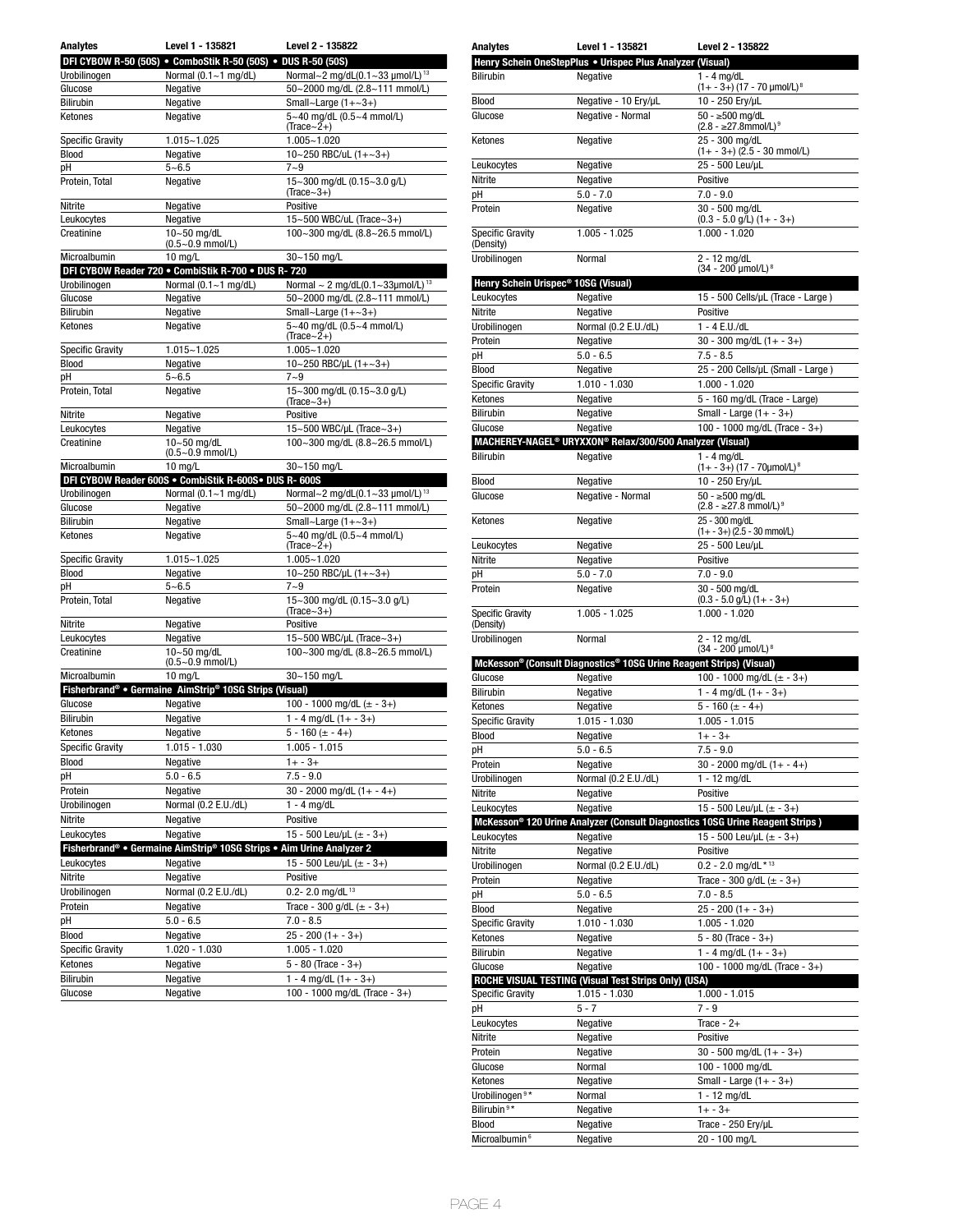| <b>Analytes</b>             | Level 1 - 135821                                                     | Level 2 - 135822                                   |
|-----------------------------|----------------------------------------------------------------------|----------------------------------------------------|
|                             | DFI CYBOW R-50 (50S) . ComboStik R-50 (50S) . DUS R-50 (50S)         |                                                    |
| Urobilinogen                | Normal (0.1~1 mg/dL)                                                 | Normal~2 mg/dL(0.1~33 µmol/L) <sup>13</sup>        |
| Glucose                     | Negative                                                             | 50~2000 mg/dL (2.8~111 mmol/L)                     |
| <b>Bilirubin</b>            | Negative                                                             | Small~Large $(1+-3+)$                              |
| Ketones                     | Negative                                                             | 5~40 mg/dL (0.5~4 mmol/L)<br>$(Trace - 2+)$        |
| Specific Gravity            | 1.015~1.025                                                          | 1.005~1.020                                        |
| Blood                       | Negative                                                             | 10~250 RBC/uL (1+~3+)                              |
| рH                          | 5~6.5                                                                | 7~9                                                |
| Protein, Total              | Negative                                                             | 15~300 mg/dL (0.15~3.0 g/L)<br>$(Trace-3+)$        |
| Nitrite                     | Negative                                                             | Positive                                           |
| Leukocytes                  | Negative                                                             | 15~500 WBC/uL (Trace~3+)                           |
| Creatinine                  | 10~50 mg/dL<br>$(0.5 - 0.9$ mmol/L)                                  | 100~300 mg/dL (8.8~26.5 mmol/L)                    |
| Microalbumin                | 10 mg/L                                                              | 30~150 mg/L                                        |
|                             | DFI CYBOW Reader 720 . CombiStik R-700 . DUS R-720                   |                                                    |
| Urobilinogen                | Normal $(0.1 - 1$ mg/dL)                                             | Normal $\sim$ 2 mg/dL(0.1~33µmol/L) <sup>13</sup>  |
| Glucose<br><b>Bilirubin</b> | Negative                                                             | 50~2000 mg/dL (2.8~111 mmol/L)                     |
| Ketones                     | Negative<br>Negative                                                 | Small~Large $(1+-3+)$<br>5~40 mg/dL (0.5~4 mmol/L) |
| Specific Gravity            | 1.015~1.025                                                          | (Trace~2+)<br>1.005~1.020                          |
| <b>Blood</b>                | Negative                                                             | 10~250 RBC/µL $(1+-3+)$                            |
| рH                          | $5 - 6.5$                                                            | 7~9                                                |
| Protein, Total              | Negative                                                             | 15~300 mg/dL (0.15~3.0 g/L)<br>(Trace $\sim$ 3+)   |
| Nitrite                     | Negative                                                             | Positive                                           |
| Leukocytes                  | Negative                                                             | 15~500 WBC/µL (Trace~3+)                           |
| Creatinine                  | $10 - 50$ mg/dL<br>$(0.5 - 0.9$ mmol/L)                              | 100~300 mg/dL (8.8~26.5 mmol/L)                    |
| Microalbumin                | $10$ mg/L                                                            | 30~150 mg/L                                        |
|                             | DFI CYBOW Reader 600S . CombiStik R-600S. DUS R- 600S                |                                                    |
| Urobilinogen                | Normal $(0.1 - 1$ mg/dL)                                             | Normal~2 mg/dL(0.1~33 µmol/L) <sup>13</sup>        |
| Glucose                     | Negative                                                             | 50~2000 mg/dL (2.8~111 mmol/L)                     |
| Bilirubin                   | Negative                                                             | Small~Large $(1+-3+)$                              |
| Ketones                     | Negative                                                             | 5~40 mg/dL (0.5~4 mmol/L)<br>(Trace $\sim$ 2+)     |
| <b>Specific Gravity</b>     | 1.015~1.025                                                          | 1.005~1.020                                        |
| Blood                       | Negative                                                             | 10~250 RBC/µL $(1 + ~3 +)$                         |
| рH                          | $5 - 6.5$                                                            | $7 - 9$                                            |
| Protein, Total              | Negative                                                             | 15~300 mg/dL (0.15~3.0 g/L)<br>$(Trace-3+)$        |
| Nitrite                     | Negative                                                             | Positive                                           |
| Leukocytes                  | Negative                                                             | 15~500 WBC/µL (Trace~3+)                           |
| Creatinine                  | $10 - 50$ mg/dL<br>$(0.5 - 0.9$ mmol/L)                              | 100~300 mg/dL (8.8~26.5 mmol/L)<br>30~150 mg/L     |
| Microalbumin                | $10$ mg/L<br>Fisherbrand® • Germaine AimStrip® 10SG Strips (Visual)  |                                                    |
| Glucose                     | Negative                                                             | 100 - 1000 mg/dL $(\pm$ - 3+)                      |
| <b>Bilirubin</b>            | Negative                                                             | 1 - 4 mg/dL $(1 + -3+)$                            |
| Ketones                     | Negative                                                             | 5 - 160 (± - 4+)                                   |
| <b>Specific Gravity</b>     | $1.015 - 1.030$                                                      | $1.005 - 1.015$                                    |
| Blood                       | Negative                                                             | $1 + -3 +$                                         |
| рH                          | $5.0 - 6.5$                                                          | $7.5 - 9.0$                                        |
| Protein                     | Negative                                                             | $30 - 2000$ mg/dL $(1 + - 4)$                      |
| Urobilinogen                | Normal (0.2 E.U./dL)                                                 | $1 - 4$ mg/dL                                      |
| Nitrite                     | Negative                                                             | Positive                                           |
| Leukocytes                  | Negative                                                             | 15 - 500 Leu/µL $(\pm$ - 3+)                       |
|                             | Fisherbrand® • Germaine AimStrip® 10SG Strips • Aim Urine Analyzer 2 |                                                    |
| Leukocytes                  | Negative                                                             | 15 - 500 Leu/µL $(\pm - 3+)$                       |
| Nitrite                     | Negative                                                             | Positive                                           |
| Urobilinogen                | Normal (0.2 E.U./dL)                                                 | 0.2- 2.0 mg/dL $^{13}$                             |
| Protein                     | Negative                                                             | Trace - 300 g/dL $(\pm - 3+)$                      |
| рH                          | $5.0 - 6.5$                                                          | $7.0 - 8.5$                                        |
| Blood                       | Negative                                                             | $25 - 200(1 + - 3+)$                               |
| <b>Specific Gravity</b>     | 1.020 - 1.030                                                        | $1.005 - 1.020$                                    |
| Ketones                     | Negative                                                             | $5 - 80$ (Trace $-3+$ )                            |
| Bilirubin                   | Negative                                                             | $1 - 4$ mg/dL $(1 + -3+)$                          |
| Glucose                     | Negative                                                             | 100 - 1000 mg/dL (Trace - 3+)                      |
|                             |                                                                      |                                                    |

| Analytes                                        | Level 1 - 135821                                                     | <b>Level 2 - 135822</b>                                                                  |
|-------------------------------------------------|----------------------------------------------------------------------|------------------------------------------------------------------------------------------|
|                                                 | Henry Schein OneStepPlus . Urispec Plus Analyzer (Visual)            |                                                                                          |
| <b>Bilirubin</b>                                | Negative                                                             | $1 - 4$ mg/dL                                                                            |
|                                                 |                                                                      | (1+ - 3+) (17 - 70 µmol/L) <sup>8</sup>                                                  |
| Blood                                           | Negative - 10 Ery/µL                                                 | 10 - 250 Ery/µL                                                                          |
| Glucose                                         | Negative - Normal                                                    | 50 - ≥500 mg/dL                                                                          |
|                                                 |                                                                      | $(2.8 - 27.8$ mmol/L) <sup>9</sup>                                                       |
| Ketones                                         | Negative                                                             | 25 - 300 mg/dL                                                                           |
|                                                 |                                                                      | (1+ - 3+) (2.5 - 30 mmol/L)                                                              |
| Leukocytes                                      | Negative                                                             | 25 - 500 Leu/uL                                                                          |
| Nitrite                                         | Negative                                                             | Positive                                                                                 |
| pH                                              | $5.0 - 7.0$                                                          | $7.0 - 9.0$                                                                              |
| Protein                                         | Negative                                                             | 30 - 500 mg/dL                                                                           |
|                                                 |                                                                      | $(0.3 - 5.0$ g/L) $(1 + - 3)$                                                            |
| <b>Specific Gravity</b>                         | 1.005 - 1.025                                                        | 1.000 - 1.020                                                                            |
| (Density)                                       |                                                                      |                                                                                          |
| Urobilinogen                                    | Normal                                                               | 2 - 12 mg/dL                                                                             |
|                                                 |                                                                      | (34 - 200 µmol/L) 8                                                                      |
| Henry Schein Urispec <sup>®</sup> 10SG (Visual) |                                                                      |                                                                                          |
| Leukocytes                                      | Negative                                                             | 15 - 500 Cells/µL (Trace - Large)                                                        |
| Nitrite                                         | Negative                                                             | Positive                                                                                 |
| Urobilinogen                                    | Normal (0.2 E.U./dL)                                                 | 1 - 4 E.U./dL                                                                            |
| Protein                                         | Negative                                                             | $30 - 300$ mg/dL $(1 + - 3)$                                                             |
| рH                                              | $5.0 - 6.5$                                                          | $7.5 - 8.5$                                                                              |
| Blood                                           | Negative                                                             | 25 - 200 Cells/µL (Small - Large)                                                        |
| <b>Specific Gravity</b>                         | $1.010 - 1.030$                                                      | 1.000 - 1.020                                                                            |
| Ketones                                         | Negative                                                             | 5 - 160 mg/dL (Trace - Large)                                                            |
| <b>Bilirubin</b>                                | Negative                                                             | Small - Large $(1 + -3+)$                                                                |
|                                                 |                                                                      |                                                                                          |
| Glucose                                         | Negative                                                             | 100 - 1000 mg/dL (Trace - 3+)                                                            |
|                                                 | MACHEREY-NAGEL <sup>®</sup> URYXXON® Relax/300/500 Analyzer (Visual) |                                                                                          |
| <b>Bilirubin</b>                                | Negative                                                             | $1 - 4$ mg/dL                                                                            |
|                                                 |                                                                      | (1+ - 3+) (17 - 70µmol/L) <sup>8</sup>                                                   |
| <b>Blood</b>                                    | Negative                                                             | 10 - 250 Ery/µL                                                                          |
| Glucose                                         | Negative - Normal                                                    | $50 - 500$ mg/dL                                                                         |
|                                                 |                                                                      | $(2.8 - \ge 27.8$ mmol/L) <sup>9</sup>                                                   |
| Ketones                                         | Negative                                                             | 25 - 300 mg/dL                                                                           |
|                                                 |                                                                      | $(1 + -3+)$ (2.5 - 30 mmol/L)                                                            |
| Leukocytes                                      | Negative                                                             | 25 - 500 Leu/µL                                                                          |
| Nitrite                                         | Negative                                                             | Positive                                                                                 |
| рH                                              | $5.0 - 7.0$                                                          | $7.0 - 9.0$                                                                              |
| Protein                                         | Negative                                                             | 30 - 500 mg/dL                                                                           |
|                                                 |                                                                      | $(0.3 - 5.0$ g/L) $(1 + - 3+)$                                                           |
| <b>Specific Gravity</b>                         | 1.005 - 1.025                                                        | $1.000 - 1.020$                                                                          |
| (Density)                                       |                                                                      |                                                                                          |
| Urobilinogen                                    | Normal                                                               | 2 - 12 mg/dL<br>(34 - 200 µmol/L) 8                                                      |
|                                                 | McKesson® (Consult Diagnostics® 10SG Urine Reagent Strips) (Visual)  |                                                                                          |
| Glucose                                         | Negative                                                             | 100 - 1000 mg/dL ( $\pm$ - 3+)                                                           |
|                                                 |                                                                      |                                                                                          |
| <b>Bilirubin</b>                                | Negative                                                             | $1 - 4$ mg/dL $(1 + -3+)$                                                                |
| Ketones                                         | Negative                                                             | 5 - 160 (± - 4+)                                                                         |
| <b>Specific Gravity</b>                         | 1.015 - 1.030                                                        | $1.005 - 1.015$                                                                          |
| Blood                                           | Negative                                                             | $1 + -3 +$                                                                               |
| pН                                              | $5.0 - 6.5$                                                          | $7.5 - 9.0$                                                                              |
| Protein                                         | Negative                                                             | $30 - 2000$ mg/dL $(1 + - 4)$                                                            |
| Urobilinogen                                    | Normal (0.2 E.U./dL)                                                 | 1 - 12 mg/dL                                                                             |
| Nitrite                                         | Negative                                                             | Positive                                                                                 |
| Leukocytes                                      | Negative                                                             | 15 - 500 Leu/µL (± - 3+)                                                                 |
|                                                 |                                                                      | McKesson <sup>®</sup> 120 Urine Analyzer (Consult Diagnostics 10SG Urine Reagent Strips) |
| Leukocytes                                      | Negative                                                             | 15 - 500 Leu/uL $(\pm$ - 3+)                                                             |
| Nitrite                                         | Negative                                                             | Positive                                                                                 |
|                                                 |                                                                      |                                                                                          |
| Urobilinogen                                    | Normal (0.2 E.U./dL)                                                 | $0.2 - 2.0$ mg/dL * 13                                                                   |
| Protein                                         | Negative                                                             | Trace - 300 g/dL $(\pm - 3+)$                                                            |
| рH                                              | $5.0 - 6.5$                                                          | $7.0 - 8.5$                                                                              |
| Blood                                           | Negative                                                             | $25 - 200(1 + - 3+)$                                                                     |
| <b>Specific Gravity</b>                         | 1.010 - 1.030                                                        | $1.005 - 1.020$                                                                          |
| Ketones                                         | Negative                                                             | $5 - 80$ (Trace $-3+$ )                                                                  |
| <b>Bilirubin</b>                                | Negative                                                             | $1 - 4$ mg/dL $(1 + -3+)$                                                                |
| Glucose                                         | Negative                                                             | 100 - 1000 mg/dL (Trace - 3+)                                                            |
|                                                 | ROCHE VISUAL TESTING (Visual Test Strips Only) (USA)                 |                                                                                          |
| <b>Specific Gravity</b>                         | $1.015 - 1.030$                                                      | $1.000 - 1.015$                                                                          |
| рH                                              | $5 - 7$                                                              | 7 - 9                                                                                    |
|                                                 |                                                                      |                                                                                          |
| Leukocytes                                      | Negative                                                             | Trace - $2+$                                                                             |
| Nitrite                                         | Negative                                                             | Positive                                                                                 |
| Protein                                         | Negative                                                             | 30 - 500 mg/dL $(1 + -3+)$                                                               |
| Glucose                                         | Normal                                                               | 100 - 1000 mg/dL                                                                         |
| Ketones                                         | Negative                                                             | Small - Large $(1 + -3+)$                                                                |
| Urobilinogen <sup>9*</sup>                      | Normal                                                               | $1 - 12$ mg/dL                                                                           |
| Bilirubin <sup>9*</sup>                         | Negative                                                             | $1 + -3 +$                                                                               |
| Blood                                           | Negative                                                             | Trace - 250 Ery/µL                                                                       |
| Microalbumin <sup>6</sup>                       | Negative                                                             | 20 - 100 mg/L                                                                            |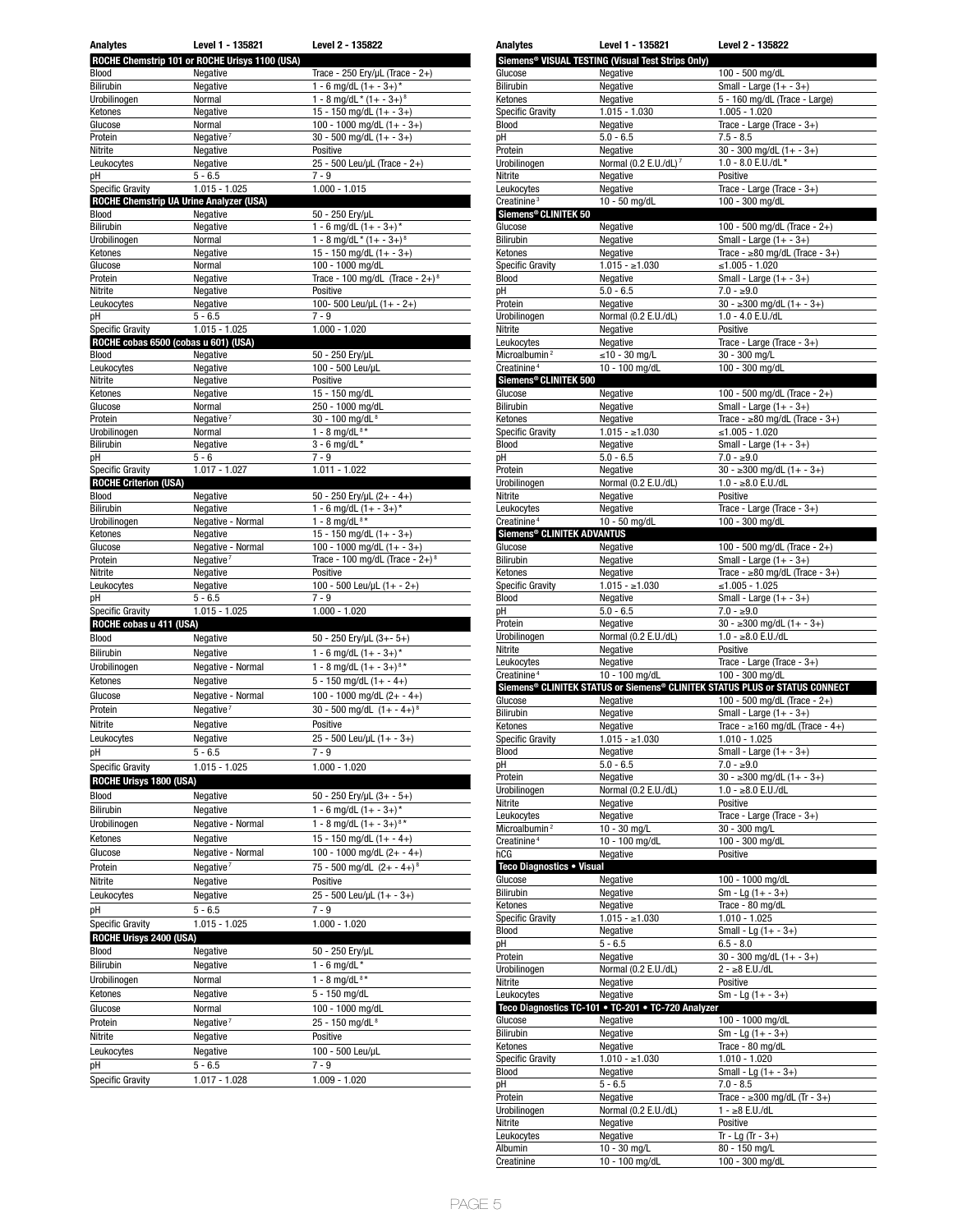| <b>Analytes</b>                                | Level 1 - 135821                               | Level 2 - 135822                               |
|------------------------------------------------|------------------------------------------------|------------------------------------------------|
|                                                | ROCHE Chemstrip 101 or ROCHE Urisys 1100 (USA) |                                                |
| Blood                                          | Negative                                       | Trace - 250 Ery/µL (Trace - 2+)                |
| Bilirubin                                      | Negative                                       | 1 - 6 mg/dL $(1 + -3 +)^*$                     |
| Urobilinogen                                   | Normal                                         | $1 - 8$ mg/dL * $(1 - 3 +)$ <sup>8</sup>       |
| Ketones                                        | Negative                                       | 15 - 150 mg/dL $(1 + -3+)$                     |
| Glucose                                        | Normal                                         | 100 - 1000 mg/dL $(1 + -3 +)$                  |
| Protein                                        | Negative <sup>7</sup>                          | 30 - 500 mg/dL $(1 + -3+)$                     |
| Nitrite                                        | Negative                                       | Positive                                       |
| Leukocytes                                     | Negative                                       | 25 - 500 Leu/µL (Trace - 2+)                   |
| рH<br><b>Specific Gravity</b>                  | $5 - 6.5$<br>$1.015 - 1.025$                   | $7 - 9$<br>$1.000 - 1.015$                     |
| <b>ROCHE Chemstrip UA Urine Analyzer (USA)</b> |                                                |                                                |
| Blood                                          | Negative                                       | 50 - 250 Ery/µL                                |
| Bilirubin                                      | Negative                                       | 1 - 6 mg/dL $(1 + -3+)$ *                      |
| Urobilinogen                                   | Normal                                         | $1 - 8$ mg/dL * $(1 + -3 +)$ <sup>8</sup>      |
| Ketones                                        | Negative                                       | $15 - 150$ mg/dL $(1 + -3+)$                   |
| Glucose                                        | Normal                                         | 100 - 1000 mg/dL                               |
| Protein                                        | Negative                                       | Trace - 100 mg/dL (Trace - $2+$ ) <sup>8</sup> |
| Nitrite                                        | Negative                                       | Positive                                       |
| Leukocytes                                     | Negative                                       | 100-500 Leu/µL $(1 + - 2+)$                    |
| рH                                             | $5 - 6.5$                                      | 7 - 9                                          |
| <b>Specific Gravity</b>                        | $1.015 - 1.025$                                | $1.000 - 1.020$                                |
| ROCHE cobas 6500 (cobas u 601) (USA)           |                                                |                                                |
| Blood<br>Leukocytes                            | Negative<br>Negative                           | 50 - 250 Ery/µL<br>100 - 500 Leu/µL            |
| Nitrite                                        | Negative                                       | Positive                                       |
| Ketones                                        | Negative                                       | 15 - 150 mg/dL                                 |
| Glucose                                        | Normal                                         | 250 - 1000 mg/dL                               |
| Protein                                        | Negative $7$                                   | 30 - 100 mg/dL <sup>8</sup>                    |
| Urobilinogen                                   | Normal                                         | $1 - 8$ mg/dL <sup>8*</sup>                    |
| Bilirubin                                      | Negative                                       | $3 - 6$ mg/dL *                                |
| рH                                             | $5 - 6$                                        | $7 - 9$                                        |
| <b>Specific Gravity</b>                        | 1.017 - 1.027                                  | $1.011 - 1.022$                                |
| <b>ROCHE Criterion (USA)</b>                   |                                                |                                                |
| Blood                                          | Negative                                       | 50 - 250 Ery/µL (2+ - 4+)                      |
| Bilirubin                                      | Negative                                       | 1 - 6 mg/dL $(1 + -3 +)^*$                     |
| Urobilinogen<br>Ketones                        | Negative - Normal<br>Negative                  | 1 - 8 mg/dL $8*$<br>15 - 150 mg/dL $(1 + -3+)$ |
| Glucose                                        | Negative - Normal                              | 100 - 1000 mg/dL $(1 + -3+)$                   |
| Protein                                        |                                                |                                                |
|                                                |                                                |                                                |
|                                                | Negative <sup>7</sup>                          | Trace - 100 mg/dL (Trace - $2+$ ) <sup>8</sup> |
| Nitrite                                        | Negative                                       | Positive                                       |
| Leukocytes<br>рH                               | Negative<br>$5 - 6.5$                          | 100 - 500 Leu/µL $(1 + - 2+)$<br>7 - 9         |
| <b>Specific Gravity</b>                        |                                                | $1.000 - 1.020$                                |
| ROCHE cobas u 411 (USA)                        | $1.015 - 1.025$                                |                                                |
| Blood                                          | Negative                                       | 50 - 250 Ery/uL (3+- 5+)                       |
| <b>Bilirubin</b>                               | Negative                                       | 1 - 6 mg/dL $(1 + -3+)$ *                      |
| Urobilinogen                                   | Negative - Normal                              | 1 - 8 mg/dL $(1 + -3 +)$ <sup>8*</sup>         |
| Ketones                                        | Negative                                       | $5 - 150$ mg/dL $(1 + - 4+)$                   |
| Glucose                                        | Negative - Normal                              | 100 - 1000 mg/dL $(2 + -4 +)$                  |
| Protein                                        | Negative <sup>7</sup>                          | 30 - 500 mg/dL $(1 + -4)^8$                    |
| Nitrite                                        | Negative                                       | Positive                                       |
| Leukocytes                                     | Negative                                       | 25 - 500 Leu/µL (1+ - 3+)                      |
| рH                                             | $5 - 6.5$                                      | $7 - 9$                                        |
| <b>Specific Gravity</b>                        | $1.015 - 1.025$                                | $1.000 - 1.020$                                |
| <b>ROCHE Urisys 1800 (USA)</b>                 |                                                |                                                |
| Blood                                          | Negative                                       |                                                |
| Bilirubin                                      |                                                | $50 - 250$ Ery/µL $(3 + -5+)$                  |
|                                                | Negative                                       | 1 - 6 mg/dL $(1 + -3+)$ *                      |
| Urobilinogen                                   | Negative - Normal                              | 1 - 8 mg/dL $(1 + -3 +)^{8*}$                  |
| Ketones                                        | Negative                                       | 15 - 150 mg/dL $(1 + - 4 +)$                   |
| Glucose                                        | Negative - Normal                              | 100 - 1000 mg/dL $(2 + -4+)$                   |
| Protein                                        | Negative <sup>7</sup>                          | 75 - 500 mg/dL $(2 + -4 +)^8$                  |
| Nitrite                                        | Negative                                       | Positive                                       |
| Leukocytes                                     | Negative                                       | 25 - 500 Leu/µL (1+ - 3+)                      |
| рH                                             | $5 - 6.5$                                      | 7 - 9                                          |
| <b>Specific Gravity</b>                        | 1.015 - 1.025                                  | 1.000 - 1.020                                  |
| <b>ROCHE Urisys 2400 (USA)</b>                 |                                                |                                                |
| Blood                                          | Negative                                       | 50 - 250 Ery/µL                                |
| Bilirubin                                      | Negative                                       | 1 - 6 mg/dL $*$                                |
| Urobilinogen                                   | Normal                                         | 1 - 8 mg/dL $8*$                               |
| Ketones                                        | Negative                                       | 5 - 150 mg/dL                                  |
| Glucose                                        | Normal                                         | 100 - 1000 mg/dL                               |
| Protein                                        | Negative <sup>7</sup>                          | 25 - 150 mg/dL <sup>8</sup>                    |
| Nitrite                                        | Negative                                       | Positive                                       |
| Leukocytes                                     | Negative                                       | 100 - 500 Leu/µL                               |
| рH<br><b>Specific Gravity</b>                  | $5 - 6.5$<br>1.017 - 1.028                     | 7 - 9<br>1.009 - 1.020                         |

| Analytes                                                                                                                                                             | Level 1 - 135821                                              | Level 2 - 135822                                                                        |
|----------------------------------------------------------------------------------------------------------------------------------------------------------------------|---------------------------------------------------------------|-----------------------------------------------------------------------------------------|
|                                                                                                                                                                      | Siemens <sup>®</sup> VISUAL TESTING (Visual Test Strips Only) |                                                                                         |
| Glucose                                                                                                                                                              | Negative                                                      | 100 - 500 mg/dL                                                                         |
| Bilirubin                                                                                                                                                            | Negative                                                      | Small - Large $(1 + -3+)$                                                               |
| Ketones                                                                                                                                                              | Negative                                                      | 5 - 160 mg/dL (Trace - Large)                                                           |
| <b>Specific Gravity</b>                                                                                                                                              | $1.015 - 1.030$                                               | $1.005 - 1.020$                                                                         |
|                                                                                                                                                                      |                                                               | Trace - Large (Trace - 3+)                                                              |
| Blood                                                                                                                                                                | Negative                                                      |                                                                                         |
| рH                                                                                                                                                                   | $5.0 - 6.5$                                                   | $7.5 - 8.5$                                                                             |
| Protein                                                                                                                                                              | Negative                                                      | $30 - 300$ mg/dL $(1 + -3 +)$                                                           |
| Urobilinogen                                                                                                                                                         | Normal (0.2 E.U./dL) <sup>7</sup>                             | $1.0 - 8.0$ E.U./dL*                                                                    |
| Nitrite                                                                                                                                                              | Negative                                                      | Positive                                                                                |
| Leukocytes                                                                                                                                                           | Negative                                                      | Trace - Large (Trace - 3+)                                                              |
| Creatinine <sup>3</sup>                                                                                                                                              | 10 - 50 mg/dL                                                 | 100 - 300 mg/dL                                                                         |
|                                                                                                                                                                      |                                                               |                                                                                         |
| Siemens® CLINITEK 50                                                                                                                                                 |                                                               |                                                                                         |
| Glucose                                                                                                                                                              | Negative                                                      | 100 - 500 mg/dL (Trace - 2+)                                                            |
| Bilirubin                                                                                                                                                            | Negative                                                      | Small - Large $(1 + -3+)$                                                               |
| Ketones                                                                                                                                                              | Negative                                                      | Trace - $\geq 80$ mg/dL (Trace - 3+)                                                    |
| <b>Specific Gravity</b>                                                                                                                                              | $1.015 - \ge 1.030$                                           | ≤1.005 - 1.020                                                                          |
| Blood                                                                                                                                                                | Negative                                                      | Small - Large $(1 + -3+)$                                                               |
| pH                                                                                                                                                                   | $5.0 - 6.5$                                                   | $7.0 - $9.0$                                                                            |
| Protein                                                                                                                                                              | Negative                                                      | $30 - 300$ mg/dL $(1 + -3)$                                                             |
|                                                                                                                                                                      | Normal (0.2 E.U./dL)                                          | $1.0 - 4.0$ E.U./dL                                                                     |
| Urobilinogen                                                                                                                                                         |                                                               |                                                                                         |
| Nitrite                                                                                                                                                              | Negative                                                      | Positive                                                                                |
| Leukocytes                                                                                                                                                           | Negative                                                      | Trace - Large (Trace - $3+$ )                                                           |
| Microalbumin <sup>2</sup>                                                                                                                                            | $\leq$ 10 - 30 mg/L                                           | 30 - 300 mg/L                                                                           |
| Creatinine <sup>4</sup>                                                                                                                                              | 10 - 100 mg/dL                                                | 100 - 300 mg/dL                                                                         |
| Siemens® CLINITEK 500                                                                                                                                                |                                                               |                                                                                         |
| Glucose                                                                                                                                                              |                                                               |                                                                                         |
|                                                                                                                                                                      | Negative                                                      | 100 - 500 mg/dL (Trace - $2+$ )                                                         |
| <b>Bilirubin</b>                                                                                                                                                     | Negative                                                      | Small - Large $(1 + -3+)$                                                               |
| Ketones                                                                                                                                                              | Negative                                                      | Trace - $\geq 80$ mg/dL (Trace - 3+)                                                    |
| <b>Specific Gravity</b>                                                                                                                                              | $1.015 - \ge 1.030$                                           | ≤1.005 - 1.020                                                                          |
| Blood                                                                                                                                                                | Negative                                                      | Small - Large $(1 + -3+)$                                                               |
| pH                                                                                                                                                                   | $5.0 - 6.5$                                                   | $7.0 - \ge 9.0$                                                                         |
| Protein                                                                                                                                                              | Negative                                                      | $30 - 300$ mg/dL $(1 + -3)$                                                             |
|                                                                                                                                                                      | Normal (0.2 E.U./dL)                                          |                                                                                         |
| Urobilinogen                                                                                                                                                         |                                                               | $1.0 - \ge 8.0$ E.U./dL                                                                 |
| Nitrite                                                                                                                                                              | Negative                                                      | Positive                                                                                |
| Leukocytes                                                                                                                                                           | Negative                                                      | Trace - Large (Trace - 3+)                                                              |
| Creatinine <sup>4</sup>                                                                                                                                              | 10 - 50 mg/dL                                                 | 100 - 300 mg/dL                                                                         |
| Siemens® CLINITEK ADVANTUS                                                                                                                                           |                                                               |                                                                                         |
| Glucose                                                                                                                                                              | Negative                                                      | 100 - 500 mg/dL (Trace - 2+)                                                            |
| Bilirubin                                                                                                                                                            | Negative                                                      | Small - Large $(1 + -3+)$                                                               |
|                                                                                                                                                                      |                                                               |                                                                                         |
| Ketones                                                                                                                                                              | Negative                                                      | Trace - $\geq 80$ mg/dL (Trace - 3+)                                                    |
| <b>Specific Gravity</b>                                                                                                                                              | $1.015 - 1.030$                                               | ≤1.005 - 1.025                                                                          |
| Blood                                                                                                                                                                | Negative                                                      | Small - Large $(1 + -3+)$                                                               |
| рH                                                                                                                                                                   | $5.0 - 6.5$                                                   | $7.0 - 29.0$                                                                            |
| Protein                                                                                                                                                              | Negative                                                      | $30 - 300$ mg/dL $(1 + -3)$                                                             |
| Urobilinogen                                                                                                                                                         | Normal (0.2 E.U./dL)                                          | $1.0 - \ge 8.0$ E.U./dL                                                                 |
| Nitrite                                                                                                                                                              | Negative                                                      | Positive                                                                                |
|                                                                                                                                                                      |                                                               |                                                                                         |
| Leukocytes                                                                                                                                                           | Negative                                                      | Trace - Large (Trace - 3+)                                                              |
| Creatinine <sup>4</sup>                                                                                                                                              | 10 - 100 mg/dL                                                | 100 - 300 mg/dL                                                                         |
|                                                                                                                                                                      |                                                               | Siemens <sup>®</sup> CLINITEK STATUS or Siemens® CLINITEK STATUS PLUS or STATUS CONNECT |
| Glucose                                                                                                                                                              | Negative                                                      | 100 - 500 mg/dL (Trace - 2+)                                                            |
| Bilirubin                                                                                                                                                            | Negative                                                      | Small - Large $(1 + -3+)$                                                               |
| Ketones                                                                                                                                                              | Negative                                                      | Trace - $\geq 160$ mg/dL (Trace - 4+)                                                   |
| <b>Specific Gravity</b>                                                                                                                                              | $1.015 - 1.030$                                               | $1.010 - 1.025$                                                                         |
|                                                                                                                                                                      |                                                               |                                                                                         |
| Blood                                                                                                                                                                | Negative                                                      | Small - Large $(1 + -3+)$                                                               |
| рH                                                                                                                                                                   | $5.0 - 6.5$                                                   | $7.0 - 9.0$                                                                             |
| Protein                                                                                                                                                              | Negative                                                      | $30 - 300$ mg/dL $(1 + -3+)$                                                            |
| Urobilinogen                                                                                                                                                         | Normal (0.2 E.U./dL)                                          | $1.0 - \ge 8.0$ E.U./dL                                                                 |
| Nitrite                                                                                                                                                              | Negative                                                      | Positive                                                                                |
| Leukocytes                                                                                                                                                           | Negative                                                      | Trace - Large (Trace - $3+$ )                                                           |
| Microalbumin <sup>2</sup>                                                                                                                                            | 10 - 30 mg/L                                                  | 30 - 300 mg/L                                                                           |
| Creatinine <sup>4</sup>                                                                                                                                              |                                                               |                                                                                         |
|                                                                                                                                                                      | 10 - 100 mg/dL                                                | 100 - 300 mg/dL                                                                         |
| hCG                                                                                                                                                                  | Negative                                                      | Positive                                                                                |
| Teco Diagnostics . Visual                                                                                                                                            |                                                               |                                                                                         |
| Glucose                                                                                                                                                              | Negative                                                      | 100 - 1000 mg/dL                                                                        |
| Bilirubin                                                                                                                                                            | Negative                                                      | $Sm - Lg(1 + -3+)$                                                                      |
| Ketones                                                                                                                                                              | Negative                                                      | Trace - 80 mg/dL                                                                        |
| <b>Specific Gravity</b>                                                                                                                                              | $1.015 - \ge 1.030$                                           | $1.010 - 1.025$                                                                         |
|                                                                                                                                                                      |                                                               |                                                                                         |
| Blood                                                                                                                                                                | Negative                                                      | Small - Lg $(1 + -3)$                                                                   |
| рH                                                                                                                                                                   | $5 - 6.5$                                                     | $6.5 - 8.0$                                                                             |
| Protein                                                                                                                                                              | Negative                                                      | $30 - 300$ mg/dL $(1 + - 3 +)$                                                          |
| Urobilinogen                                                                                                                                                         |                                                               | $2 - \ge 8$ E.U./dL                                                                     |
| Nitrite                                                                                                                                                              | Normal (0.2 E.U./dL)                                          |                                                                                         |
|                                                                                                                                                                      | Negative                                                      | Positive                                                                                |
|                                                                                                                                                                      |                                                               |                                                                                         |
|                                                                                                                                                                      | Negative                                                      | $Sm - Lg(1 + -3+)$                                                                      |
|                                                                                                                                                                      | Teco Diagnostics TC-101 . TC-201 . TC-720 Analyzer            |                                                                                         |
|                                                                                                                                                                      | Negative                                                      | 100 - 1000 mg/dL                                                                        |
|                                                                                                                                                                      | Negative                                                      | $Sm - Lg(1 + -3+)$                                                                      |
|                                                                                                                                                                      | Negative                                                      | Trace - 80 mg/dL                                                                        |
|                                                                                                                                                                      |                                                               | $1.010 - 1.020$                                                                         |
|                                                                                                                                                                      | $1.010 - \ge 1.030$                                           |                                                                                         |
|                                                                                                                                                                      | Negative                                                      | Small - Lg $(1 + -3+)$                                                                  |
|                                                                                                                                                                      | $5 - 6.5$                                                     | $7.0 - 8.5$                                                                             |
|                                                                                                                                                                      | Negative                                                      | Trace - $\geq 300$ mg/dL (Tr - 3+)                                                      |
|                                                                                                                                                                      | Normal (0.2 E.U./dL)                                          | $1 - \ge 8$ E.U./dL                                                                     |
|                                                                                                                                                                      | Negative                                                      | Positive                                                                                |
|                                                                                                                                                                      | Negative                                                      | $Tr - Lg (Tr - 3+)$                                                                     |
|                                                                                                                                                                      |                                                               |                                                                                         |
| Leukocytes<br>Glucose<br>Bilirubin<br>Ketones<br><b>Specific Gravity</b><br>Blood<br>рH<br>Protein<br>Urobilinogen<br>Nitrite<br>Leukocytes<br>Albumin<br>Creatinine | 10 - 30 mg/L<br>10 - 100 mg/dL                                | 80 - 150 mg/L<br>100 - 300 mg/dL                                                        |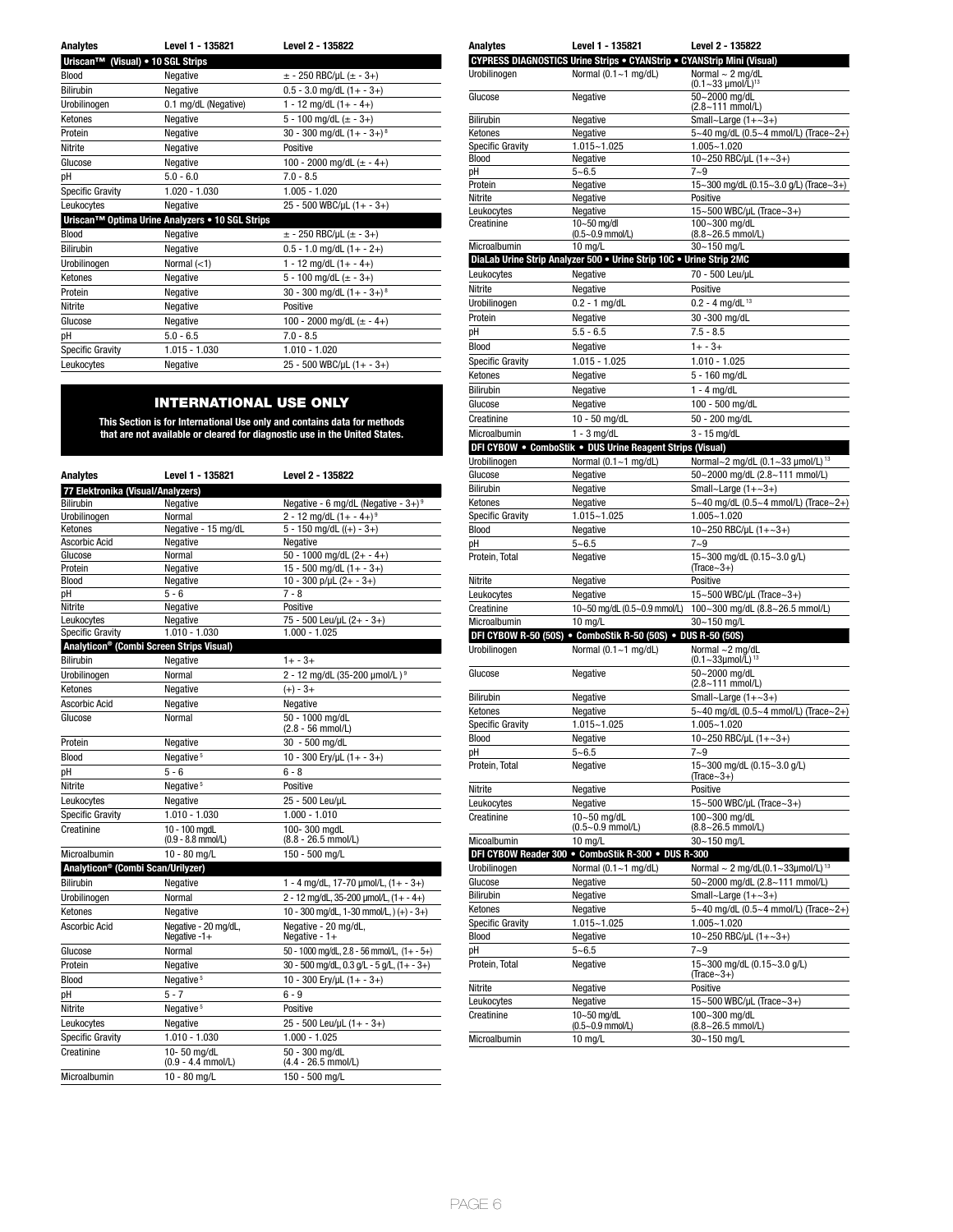| <b>Analytes</b>                   | Level 1 - 135821                                | Level 2 - 135822                         |
|-----------------------------------|-------------------------------------------------|------------------------------------------|
| Uriscan™ (Visual) • 10 SGL Strips |                                                 |                                          |
| Blood                             | Negative                                        | $\pm$ - 250 RBC/µL ( $\pm$ - 3+)         |
| <b>Bilirubin</b>                  | Negative                                        | $0.5 - 3.0$ mg/dL $(1 + -3+)$            |
| Urobilinogen                      | 0.1 mg/dL (Negative)                            | $1 - 12$ mg/dL $(1 + - 4 +)$             |
| Ketones                           | Negative                                        | 5 - 100 mg/dL $(\pm$ - 3+)               |
| Protein                           | Negative                                        | 30 - 300 mg/dL $(1 + -3 +)$ <sup>8</sup> |
| Nitrite                           | Negative                                        | Positive                                 |
| Glucose                           | Negative                                        | 100 - 2000 mg/dL $(\pm$ - 4+)            |
| pH                                | $5.0 - 6.0$                                     | $7.0 - 8.5$                              |
| <b>Specific Gravity</b>           | $1.020 - 1.030$                                 | $1.005 - 1.020$                          |
| Leukocytes                        | Negative                                        | 25 - 500 WBC/µL (1+ - 3+)                |
|                                   | Uriscan™ Optima Urine Analyzers • 10 SGL Strips |                                          |
| Blood                             | Negative                                        | $\pm$ - 250 RBC/µL ( $\pm$ - 3+)         |
| <b>Bilirubin</b>                  | Negative                                        | $0.5 - 1.0$ mg/dL $(1 + - 2+)$           |
| Urobilinogen                      | Normal $(<1)$                                   | $1 - 12$ mg/dL $(1 + - 4 +)$             |
| Ketones                           | Negative                                        | 5 - 100 mg/dL $(\pm$ - 3+)               |
| Protein                           | Negative                                        | 30 - 300 mg/dL $(1 + -3 +)$ <sup>8</sup> |
| Nitrite                           | Negative                                        | Positive                                 |
| Glucose                           | Negative                                        | 100 - 2000 mg/dL $(\pm$ - 4+)            |
| рH                                | $5.0 - 6.5$                                     | $7.0 - 8.5$                              |
| Specific Gravity                  | $1.015 - 1.030$                                 | $1.010 - 1.020$                          |
| Leukocytes                        | Negative                                        | $25 - 500$ WBC/µL $(1 + -3+)$            |

# INTERNATIONAL USE ONLY

**This Section is for International Use only and contains data for methods that are not available or cleared for diagnostic use in the United States.**

| Analytes                                      | Level 1 - 135821                                     | Level 2 - 135822                                   |
|-----------------------------------------------|------------------------------------------------------|----------------------------------------------------|
| 77 Elektronika (Visual/Analyzers)             |                                                      |                                                    |
| <b>Bilirubin</b>                              | Negative                                             | Negative - 6 mg/dL (Negative - $3+$ ) <sup>9</sup> |
| Urobilinogen                                  | Normal                                               | 2 - 12 mg/dL $(1 + - 4 +)^9$                       |
| Ketones                                       | Negative - 15 mg/dL                                  | $5 - 150$ mg/dL $((+) - 3+)$                       |
| Ascorbic Acid                                 | Negative                                             | Negative                                           |
| Glucose                                       | Normal                                               | 50 - 1000 mg/dL $(2 + - 4 +)$                      |
| Protein                                       | Negative                                             | 15 - 500 mg/dL $(1 + -3+)$                         |
| <b>Blood</b>                                  | Negative                                             | $10 - 300$ p/µL (2+ - 3+)                          |
| рH                                            | $5 - 6$                                              | $7 - 8$                                            |
| Nitrite                                       | Negative                                             | Positive                                           |
| Leukocytes                                    | Negative                                             | 75 - 500 Leu/µL (2+ - 3+)                          |
| <b>Specific Gravity</b>                       | $1.010 - 1.030$                                      | $1.000 - 1.025$                                    |
|                                               | Analyticon <sup>®</sup> (Combi Screen Strips Visual) |                                                    |
| <b>Bilirubin</b>                              | Negative                                             | $1 + -3 +$                                         |
| Urobilinogen                                  | Normal                                               | 2 - 12 mg/dL (35-200 µmol/L) <sup>9</sup>          |
| Ketones                                       | Negative                                             | $(+) - 3 +$                                        |
| <b>Ascorbic Acid</b>                          | Negative                                             | Negative                                           |
| Glucose                                       | Normal                                               | 50 - 1000 mg/dL<br>(2.8 - 56 mmol/L)               |
| Protein                                       | Negative                                             | 30 - 500 mg/dL                                     |
| Blood                                         | Negative <sup>5</sup>                                | 10 - 300 Ery/uL $(1 + -3 +)$                       |
| pH                                            | $5 - 6$                                              | $6 - 8$                                            |
| Nitrite                                       | Negative <sup>5</sup>                                | Positive                                           |
| Leukocytes                                    | Negative                                             | 25 - 500 Leu/uL                                    |
| Specific Gravity                              | $1.010 - 1.030$                                      | $1.000 - 1.010$                                    |
| Creatinine                                    | 10 - 100 mgdL<br>$(0.9 - 8.8$ mmol/L)                | 100-300 mgdL<br>$(8.8 - 26.5$ mmol/L)              |
| Microalbumin                                  | 10 - 80 mg/L                                         | 150 - 500 mg/L                                     |
| Analyticon <sup>®</sup> (Combi Scan/Urilyzer) |                                                      |                                                    |
| Bilirubin                                     | Negative                                             | 1 - 4 mg/dL, 17-70 $\mu$ mol/L, (1+ - 3+)          |
| Urobilinogen                                  | Normal                                               | $2 - 12$ mg/dL, 35-200 µmol/L, $(1 + -4+)$         |
| Ketones                                       | Negative                                             | 10 - 300 mg/dL, 1-30 mmol/L, $)(+) - 3+)$          |
| Ascorbic Acid                                 | Negative - 20 mg/dL,<br>Negative $-1+$               | Negative - 20 mg/dL,<br>Negative - $1+$            |
| Glucose                                       | Normal                                               | 50 - 1000 mg/dL, 2.8 - 56 mmol/L, $(1 + -5 +)$     |
| Protein                                       | Negative                                             | 30 - 500 mg/dL, 0.3 g/L - 5 g/L, $(1 + -3 +)$      |
| <b>Blood</b>                                  | Negative <sup>5</sup>                                | 10 - 300 Ery/uL (1+ - 3+)                          |
| рH                                            | $5 - 7$                                              | $6 - 9$                                            |
| Nitrite                                       | Negative <sup>5</sup>                                | Positive                                           |
| Leukocytes                                    | Negative                                             | $25 - 500$ Leu/µL $(1 + - 3+)$                     |
| Specific Gravity                              | $1.010 - 1.030$                                      | $1.000 - 1.025$                                    |
| Creatinine                                    | 10-50 mg/dL                                          | 50 - 300 mg/dL                                     |
|                                               | $(0.9 - 4.4$ mmol/L)                                 | $(4.4 - 26.5$ mmol/L)                              |
| Microalbumin                                  | 10 - 80 mg/L                                         | 150 - 500 mg/L                                     |

| <b>Analytes</b>                  | Level 1 - 135821                                                                 | Level 2 - 135822                                      |
|----------------------------------|----------------------------------------------------------------------------------|-------------------------------------------------------|
|                                  | <b>CYPRESS DIAGNOSTICS Urine Strips . CYANStrip . CYANStrip Mini (Visual)</b>    |                                                       |
| Urobilinogen                     | Normal (0.1~1 mg/dL)                                                             | Normal $\sim$ 2 mg/dL<br>$(0.1 - 33 \mu mol/L)^{13}$  |
| Glucose                          | Negative                                                                         | 50~2000 mg/dL                                         |
|                                  |                                                                                  | (2.8~111 mmol/L)                                      |
| <b>Bilirubin</b>                 | Negative                                                                         | Small~Large $(1+-3+)$                                 |
| Ketones                          | Negative                                                                         | 5~40 mg/dL (0.5~4 mmol/L) (Trace~2+)                  |
| <b>Specific Gravity</b>          | 1.015~1.025                                                                      | $1.005 - 1.020$                                       |
| Blood<br>рH                      | Negative<br>$5 - 6.5$                                                            | 10~250 RBC/µL (1+~3+)<br>$7 - 9$                      |
| Protein                          | Negative                                                                         | 15~300 mg/dL (0.15~3.0 g/L) (Trace~3+)                |
| Nitrite                          | Negative                                                                         | Positive                                              |
| Leukocytes                       | Negative                                                                         | 15~500 WBC/µL (Trace~3+)                              |
| Creatinine                       | 10~50 mg/dl                                                                      | 100~300 mg/dL                                         |
|                                  | (0.5~0.9 mmol/L)                                                                 | $(8.8 - 26.5$ mmol/L)                                 |
| Microalbumin                     | $10$ mg/L<br>DiaLab Urine Strip Analyzer 500 . Urine Strip 10C . Urine Strip 2MC | 30~150 mg/L                                           |
| Leukocytes                       | Negative                                                                         | 70 - 500 Leu/µL                                       |
| Nitrite                          | Negative                                                                         | Positive                                              |
| Urobilinogen                     | $0.2 - 1$ mg/dL                                                                  | $0.2 - 4$ mg/dL <sup>13</sup>                         |
| Protein                          | Negative                                                                         | 30 - 300 mg/dL                                        |
| pH                               | $5.5 - 6.5$                                                                      | $7.5 - 8.5$                                           |
| Blood                            | Negative                                                                         | $1 + -3 +$                                            |
| <b>Specific Gravity</b>          | $1.015 - 1.025$                                                                  | $1.010 - 1.025$                                       |
| Ketones                          | Negative                                                                         | 5 - 160 mg/dL                                         |
| <b>Bilirubin</b>                 | Negative                                                                         | $1 - 4$ mg/dL                                         |
| Glucose                          | Negative                                                                         | 100 - 500 mg/dL                                       |
| Creatinine                       | 10 - 50 mg/dL                                                                    | 50 - 200 mg/dL                                        |
| Microalbumin                     | $1 - 3$ mg/dL                                                                    | $3 - 15$ mg/dL                                        |
|                                  | DFI CYBOW . ComboStik . DUS Urine Reagent Strips (Visual)                        |                                                       |
| Urobilinogen                     | Normal $(0.1 - 1$ mg/dL)                                                         | Normal~2 mg/dL (0.1~33 µmol/L) <sup>13</sup>          |
| Glucose                          | Negative                                                                         | 50~2000 mg/dL (2.8~111 mmol/L)                        |
| <b>Bilirubin</b>                 | Negative                                                                         | Small~Large $(1+-3+)$                                 |
| Ketones                          | Negative                                                                         | 5~40 mg/dL (0.5~4 mmol/L) (Trace~2+)                  |
| <b>Specific Gravity</b>          | 1.015~1.025                                                                      | $1.005 - 1.020$                                       |
| <b>Blood</b>                     | Negative                                                                         | 10~250 RBC/µL $(1+-3+)$                               |
| pH                               | $5 - 6.5$                                                                        | $7 - 9$                                               |
| Protein, Total                   | Negative                                                                         | 15~300 mg/dL (0.15~3.0 g/L)<br>$(Trace~3+)$           |
| Nitrite                          | Negative                                                                         | Positive                                              |
| Leukocytes                       | Negative                                                                         | 15~500 WBC/µL (Trace~3+)                              |
| Creatinine                       | 10~50 mg/dL (0.5~0.9 mmol/L)                                                     | 100~300 mg/dL (8.8~26.5 mmol/L)                       |
| Microalbumin                     | 10 mg/L                                                                          | 30~150 mg/L                                           |
|                                  | DFI CYBOW R-50 (50S) . ComboStik R-50 (50S) . DUS R-50 (50S)                     |                                                       |
| Urobilinogen                     | Normal (0.1~1 mg/dL)                                                             | Normal ~2 mg/dL<br>$(0.1 - 33 \mu \text{mol/L})^{13}$ |
| Glucose                          | Negative                                                                         | 50~2000 mg/dL                                         |
|                                  |                                                                                  | (2.8~111 mmol/L)                                      |
| <b>Bilirubin</b>                 | Negative                                                                         | Small~Large $(1+-3+)$                                 |
| Ketones                          | Negative                                                                         | 5~40 mg/dL (0.5~4 mmol/L) (Trace~2+)                  |
| <b>Specific Gravity</b><br>Blood | 1.015~1.025                                                                      | $1.005 - 1.020$                                       |
| pH                               | Negative<br>$5 - 6.5$                                                            | 10~250 RBC/µL (1+~3+)<br>$7 - 9$                      |
| Protein, Total                   | Negative                                                                         | 15~300 mg/dL (0.15~3.0 g/L)                           |
|                                  |                                                                                  | $(Trace-3+)$                                          |
| Nitrite                          | Negative                                                                         | Positive                                              |
| Leukocytes                       | Negative                                                                         | 15~500 WBC/µL (Trace~3+)                              |
| Creatinine                       | 10~50 mg/dL                                                                      | 100~300 mg/dL                                         |
|                                  | $(0.5 - 0.9$ mmol/L)                                                             | (8.8~26.5 mmol/L)                                     |
| Micoalbumin                      | 10 mg/L<br>DFI CYBOW Reader 300 . ComboStik R-300 . DUS R-300                    | 30~150 mg/L                                           |
| Urobilinogen                     | Normal (0.1~1 mg/dL)                                                             | Normal $\sim$ 2 mg/dL(0.1~33µmol/L) <sup>13</sup>     |
| Glucose                          | Negative                                                                         | 50~2000 mg/dL (2.8~111 mmol/L)                        |
| <b>Bilirubin</b>                 | Negative                                                                         | Small~Large $(1+-3+)$                                 |
| Ketones                          | Negative                                                                         | 5~40 mg/dL (0.5~4 mmol/L) (Trace~2+)                  |
| <b>Specific Gravity</b>          | 1.015~1.025                                                                      | $1.005 - 1.020$                                       |
| <b>Blood</b>                     | Negative                                                                         | 10~250 RBC/µL (1+~3+)                                 |
| рH                               | $5 - 6.5$                                                                        | $7 - 9$                                               |
| Protein, Total                   | Negative                                                                         | 15~300 mg/dL (0.15~3.0 g/L)                           |
|                                  |                                                                                  | $(Trace-3+)$                                          |
| Nitrite<br>Leukocytes            | Negative<br>Negative                                                             | Positive<br>15~500 WBC/µL (Trace~3+)                  |
| Creatinine                       | 10~50 mg/dL                                                                      | 100~300 mg/dL                                         |
|                                  | $(0.5 - 0.9$ mmol/L)                                                             | (8.8~26.5 mmol/L)                                     |
| Microalbumin                     | 10 mg/L                                                                          | 30~150 mg/L                                           |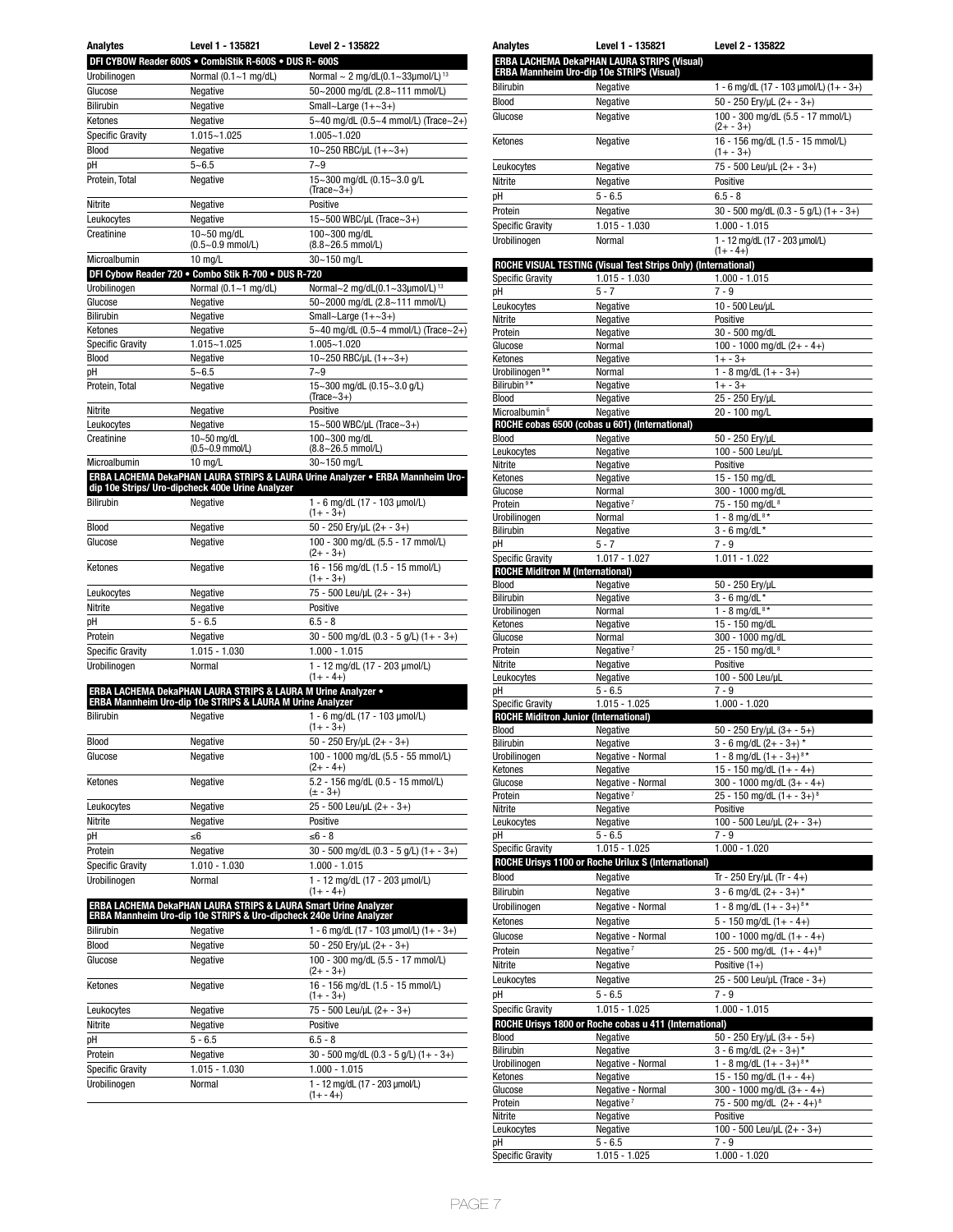| <b>Analytes</b>         | Level 1 - 135821                                       | Level 2 - 135822                                  |
|-------------------------|--------------------------------------------------------|---------------------------------------------------|
|                         | DFI CYBOW Reader 600S . CombiStik R-600S . DUS R- 600S |                                                   |
| Urobilinogen            | Normal $(0.1 - 1$ mg/dL)                               | Normal $\sim$ 2 mg/dL(0.1~33µmol/L) <sup>13</sup> |
| Glucose                 | Negative                                               | 50~2000 mg/dL (2.8~111 mmol/L)                    |
| <b>Bilirubin</b>        | Negative                                               | Small~Large $(1+-3+)$                             |
| Ketones                 | Negative                                               | 5~40 mg/dL (0.5~4 mmol/L) (Trace~2+)              |
| <b>Specific Gravity</b> | $1.015 - 1.025$                                        | $1.005 - 1.020$                                   |
| Blood                   | Negative                                               | 10~250 RBC/µL $(1 + ~3 +)$                        |
| рH                      | $5 - 6.5$                                              | $7 - 9$                                           |
| Protein, Total          | Negative                                               | 15~300 mg/dL (0.15~3.0 g/L<br>$(Trace~3+)$        |
| Nitrite                 | Negative                                               | Positive                                          |
| Leukocytes              | Negative                                               | 15~500 WBC/µL (Trace~3+)                          |
| Creatinine              | $10-50$ mg/dL<br>$(0.5 - 0.9$ mmol/L)                  | 100~300 mg/dL<br>(8.8~26.5 mmol/L)                |
| Microalhumin            | $10 \text{ mol}$                                       | $30 - 150$ mall                                   |

| містоанліші             | IU IIIŲ/L                                           | JU∼ I JU IIIYIL                             |
|-------------------------|-----------------------------------------------------|---------------------------------------------|
|                         | DFI Cybow Reader 720 . Combo Stik R-700 . DUS R-720 |                                             |
| Urobilinogen            | Normal $(0.1 - 1$ mg/dL)                            | Normal~2 mg/dL(0.1~33µmol/L) <sup>13</sup>  |
| Glucose                 | Negative                                            | 50~2000 mg/dL (2.8~111 mmol/L)              |
| Bilirubin               | Negative                                            | Small~Large $(1+\sim3+)$                    |
| Ketones                 | Negative                                            | 5~40 mg/dL (0.5~4 mmol/L) (Trace~2+)        |
| <b>Specific Gravity</b> | 1.015~1.025                                         | $1.005 - 1.020$                             |
| Blood                   | Negative                                            | 10~250 RBC/µL $(1 + ~3 +)$                  |
| pH                      | $5 - 6.5$                                           | $7 - 9$                                     |
| Protein, Total          | Negative                                            | 15~300 mg/dL (0.15~3.0 g/L)<br>$(Trace~3+)$ |
| Nitrite                 | Negative                                            | Positive                                    |
| Leukocytes              | Negative                                            | 15~500 WBC/µL (Trace~3+)                    |
| Creatinine              | 10~50 mg/dL<br>(0.5~0.9 mmol/L)                     | 100~300 mg/dL<br>$(8.8 - 26.5$ mmol/L)      |
| Microalbumin            | 10 mg/L                                             | 30~150 mg/L                                 |

**ERBA LACHEMA DekaPHAN LAURA STRIPS & LAURA Urine Analyzer • ERBA Mannheim Uro-dip 10e Strips/ Uro-dipcheck 400e Urine Analyzer**

| <b>Bilirubin</b>        | Negative        | 1 - 6 mg/dL (17 - 103 umol/L)<br>$(1 + - 3 +)$    |
|-------------------------|-----------------|---------------------------------------------------|
| Blood                   | Negative        | 50 - 250 Ery/uL $(2 + -3 +)$                      |
| Glucose                 | Negative        | 100 - 300 mg/dL (5.5 - 17 mmol/L)<br>$(2 + -3 +)$ |
| Ketones                 | Negative        | 16 - 156 mg/dL (1.5 - 15 mmol/L)<br>$(1 + -3)$    |
| Leukocytes              | Negative        | 75 - 500 Leu/uL (2+ - 3+)                         |
| Nitrite                 | Negative        | Positive                                          |
| pH                      | $5 - 6.5$       | $6.5 - 8$                                         |
| Protein                 | Negative        | $30 - 500$ mg/dL (0.3 - 5 g/L) (1+ - 3+)          |
| <b>Specific Gravity</b> | $1.015 - 1.030$ | $1.000 - 1.015$                                   |
| Urobilinoaen            | Normal          | 1 - 12 ma/dL (17 - 203 umol/L)<br>$(1 + - 4)$     |

| <b>ERBA LACHEMA DekaPHAN LAURA STRIPS &amp; LAURA M Urine Analyzer •</b><br><b>ERBA Mannheim Uro-dip 10e STRIPS &amp; LAURA M Urine Analyzer</b> |                 |                                                   |  |
|--------------------------------------------------------------------------------------------------------------------------------------------------|-----------------|---------------------------------------------------|--|
| <b>Bilirubin</b>                                                                                                                                 | Negative        | 1 - 6 mg/dL (17 - 103 µmol/L)<br>$(1 + - 3 +)$    |  |
| Blood                                                                                                                                            | Negative        | 50 - 250 Ery/uL $(2 + -3 +)$                      |  |
| Glucose                                                                                                                                          | Negative        | 100 - 1000 mg/dL (5.5 - 55 mmol/L)<br>$(2 + -4)$  |  |
| Ketones                                                                                                                                          | Negative        | 5.2 - 156 mg/dL (0.5 - 15 mmol/L)<br>$(\pm - 3+)$ |  |
| Leukocytes                                                                                                                                       | Negative        | $25 - 500$ Leu/µL $(2 + -3 +)$                    |  |
| Nitrite                                                                                                                                          | Negative        | Positive                                          |  |
| pH                                                                                                                                               | ≤6              | $≤6-8$                                            |  |
| Protein                                                                                                                                          | Negative        | 30 - 500 mg/dL (0.3 - 5 g/L) (1+ - 3+)            |  |
| <b>Specific Gravity</b>                                                                                                                          | $1.010 - 1.030$ | $1.000 - 1.015$                                   |  |
| Urobilinoaen                                                                                                                                     | Normal          | 1 - 12 mg/dL (17 - 203 µmol/L)<br>$(1 + - 4)$     |  |

| ERBA LACHEMA DekaPHAN LAURA STRIPS & LAURA Smart Urine Analyzer<br>ERBA Mannheim Uro-dip 10e STRIPS & Uro-dipcheck 240e Urine Analyzer |               |                                                   |  |  |
|----------------------------------------------------------------------------------------------------------------------------------------|---------------|---------------------------------------------------|--|--|
| <b>Bilirubin</b>                                                                                                                       | Negative      | 1 - 6 mg/dL (17 - 103 µmol/L) (1+ - 3+)           |  |  |
| Blood                                                                                                                                  | Negative      | 50 - 250 Ery/uL $(2 + -3 +)$                      |  |  |
| Glucose                                                                                                                                | Negative      | 100 - 300 mg/dL (5.5 - 17 mmol/L)<br>$(2 + -3 +)$ |  |  |
| Ketones                                                                                                                                | Negative      | 16 - 156 mg/dL (1.5 - 15 mmol/L)<br>$(1 + - 3 +)$ |  |  |
| Leukocytes                                                                                                                             | Negative      | 75 - 500 Leu/uL (2+ - 3+)                         |  |  |
| Nitrite                                                                                                                                | Negative      | Positive                                          |  |  |
| рH                                                                                                                                     | $5 - 6.5$     | $6.5 - 8$                                         |  |  |
| Protein                                                                                                                                | Negative      | 30 - 500 mg/dL (0.3 - 5 g/L) (1+ - 3+)            |  |  |
| <b>Specific Gravity</b>                                                                                                                | 1.015 - 1.030 | $1.000 - 1.015$                                   |  |  |
| Urobilinoaen                                                                                                                           | Normal        | 1 - 12 ma/dL (17 - 203 umol/L)<br>$(1 + - 4)$     |  |  |

| Analytes                                                           | Level 1 - 135821                                                | Level 2 - 135822                                          |
|--------------------------------------------------------------------|-----------------------------------------------------------------|-----------------------------------------------------------|
|                                                                    | ERBA LACHEMA DekaPHAN LAURA STRIPS (Visual)                     |                                                           |
|                                                                    | ERBA Mannheim Uro-dip 10e STRIPS (Visual)                       |                                                           |
| <b>Bilirubin</b>                                                   | Negative                                                        | 1 - 6 mg/dL (17 - 103 µmol/L) (1+ - 3+)                   |
| <b>Blood</b>                                                       | Negative                                                        | 50 - 250 Ery/µL (2+ - 3+)                                 |
| Glucose                                                            | Negative                                                        | 100 - 300 mg/dL (5.5 - 17 mmol/L)                         |
|                                                                    |                                                                 | $(2 + -3 +)$                                              |
| Ketones                                                            | Negative                                                        | 16 - 156 mg/dL (1.5 - 15 mmol/L)<br>(1+ - 3+)             |
| Leukocytes                                                         | Negative                                                        | 75 - 500 Leu/µL (2+ - 3+)                                 |
| Nitrite                                                            | Negative                                                        | Positive                                                  |
| рH                                                                 | $5 - 6.5$                                                       | $6.5 - 8$                                                 |
| Protein                                                            | Negative                                                        | 30 - 500 mg/dL (0.3 - 5 g/L) (1+ - 3+)                    |
|                                                                    | $1.015 - 1.030$                                                 | $1.000 - 1.015$                                           |
| <b>Specific Gravity</b>                                            | Normal                                                          |                                                           |
| Urobilinogen                                                       |                                                                 | 1 - 12 mg/dL (17 - 203 µmol/L)<br>$(1 + -4 +)$            |
|                                                                    | ROCHE VISUAL TESTING (Visual Test Strips Only) (International)  |                                                           |
| <b>Specific Gravity</b>                                            | 1.015 - 1.030                                                   | $1.000 - 1.015$                                           |
| рH                                                                 | $5 - 7$                                                         | $7 - 9$                                                   |
| Leukocytes                                                         | Negative                                                        | 10 - 500 Leu/uL                                           |
| Nitrite                                                            | Negative                                                        | Positive                                                  |
| Protein                                                            | Negative                                                        | 30 - 500 mg/dL                                            |
| Glucose                                                            | Normal                                                          | 100 - 1000 mg/dL $(2 + -4)$                               |
| Ketones                                                            | Negative                                                        | $1 + -3 +$                                                |
| Urobilinogen <sup>9*</sup><br>Bilirubin <sup>9*</sup>              | Normal                                                          | $1 - 8$ mg/dL $(1 + -3+)$                                 |
|                                                                    | Negative                                                        | $1 + - 3 +$                                               |
| Blood<br>Microalbumin <sup>6</sup>                                 | Negative<br>Negative                                            | 25 - 250 Ery/µL<br>20 - 100 mg/L                          |
|                                                                    | ROCHE cobas 6500 (cobas u 601) (International)                  |                                                           |
| Blood                                                              | Negative                                                        | 50 - 250 Ery/µL                                           |
| Leukocytes                                                         | Negative                                                        | 100 - 500 Leu/uL                                          |
| Nitrite                                                            | Negative                                                        | Positive                                                  |
| Ketones                                                            | Negative                                                        | 15 - 150 mg/dL                                            |
| Glucose                                                            | Normal                                                          | 300 - 1000 mg/dL                                          |
| Protein                                                            | Negative <sup>7</sup>                                           | 75 - 150 mg/dL <sup>8</sup>                               |
| Urobilinogen                                                       | Normal                                                          | 1 - 8 mg/dL $8*$                                          |
| Bilirubin                                                          | Negative                                                        | $3 - 6$ mg/dL $*$                                         |
| pH                                                                 | $5 - 7$                                                         | $7 - 9$                                                   |
| <b>Specific Gravity</b><br><b>ROCHE Miditron M (International)</b> | $1.017 - 1.027$                                                 | $1.011 - 1.022$                                           |
| <b>Blood</b>                                                       | Negative                                                        | 50 - 250 Ery/µL                                           |
| Bilirubin                                                          | Negative                                                        | $3 - 6$ mg/dL *                                           |
| Urobilinogen                                                       | Normal                                                          | 1 - 8 mg/d $L^{8*}$                                       |
| Ketones                                                            | Negative                                                        | 15 - 150 mg/dL                                            |
| Glucose                                                            | Normal                                                          | 300 - 1000 mg/dL                                          |
| Protein                                                            | Negative <sup>7</sup>                                           | 25 - 150 mg/dL <sup>8</sup>                               |
| Nitrite                                                            | Negative                                                        | Positive                                                  |
| Leukocytes                                                         | Negative                                                        | 100 - 500 Leu/uL                                          |
| рH                                                                 | $5 - 6.5$                                                       | $7 - 9$                                                   |
| <b>Specific Gravity</b>                                            | $1.015 - 1.025$<br><b>ROCHE Miditron Junior (International)</b> | $1.000 - 1.020$                                           |
| Blood                                                              | Negative                                                        | 50 - 250 Ery/uL (3+ - 5+)                                 |
| Bilirubin                                                          | Negative                                                        | $3 - 6$ mg/dL (2+ - 3+) $*$                               |
| Urobilinogen                                                       | Negative - Normal                                               | 1 - 8 mg/dL $(1 + -3 +)^{8*}$                             |
| Ketones                                                            | Negative                                                        | 15 - 150 mg/dL $(1 + - 4 +)$                              |
| Glucose                                                            | Negative - Normal                                               | 300 - 1000 mg/dL $(3 + -4)$                               |
| Protein                                                            | Negative <sup>7</sup>                                           | 25 - 150 mg/dL $(1 + -3 +)$ <sup>8</sup>                  |
| Nitrite                                                            | Negative                                                        | Positive                                                  |
| Leukocytes                                                         | Negative                                                        | 100 - 500 Leu/µL $(2 + -3+)$                              |
| рH                                                                 | $5 - 6.5$                                                       | $7 - 9$                                                   |
| Specific Gravity                                                   | $1.015 - 1.025$                                                 | $1.000 - 1.020$                                           |
|                                                                    | ROCHE Urisys 1100 or Roche Urilux S (International)             |                                                           |
| Blood                                                              | Negative                                                        | Tr - 250 Ery/µL (Tr - 4+)                                 |
| Bilirubin                                                          | Negative                                                        | $3 - 6$ mg/dL $(2 + -3 +)^*$                              |
| Urobilinogen                                                       | Negative - Normal                                               | 1 - 8 mg/dL $(1 + -3 +)^{8*}$                             |
| Ketones                                                            | Negative                                                        | $5 - 150$ mg/dL $(1 + - 4)$                               |
| Glucose                                                            | Negative - Normal                                               | 100 - 1000 mg/dL $(1 + -4)$                               |
| Protein                                                            | Negative <sup>7</sup>                                           | 25 - 500 mg/dL $(1 + -4 +)^8$                             |
| Nitrite                                                            | Negative                                                        | Positive $(1+)$                                           |
| Leukocytes                                                         | Negative                                                        | 25 - 500 Leu/µL (Trace - 3+)                              |
| рH                                                                 | $5 - 6.5$                                                       | 7 - 9                                                     |
| <b>Specific Gravity</b>                                            | $1.015 - 1.025$                                                 | $1.000 - 1.015$                                           |
|                                                                    | ROCHE Urisys 1800 or Roche cobas u 411 (International)          |                                                           |
| Blood                                                              | Negative                                                        | 50 - 250 Ery/µL (3+ - 5+)<br>$3 - 6$ mg/dL $(2 + -3 +)^*$ |
| Bilirubin<br>Urobilinogen                                          | Negative<br>Negative - Normal                                   | 1 - 8 mg/dL $(1 + -3 +)^{8*}$                             |
| Ketones                                                            | Negative                                                        | 15 - 150 mg/dL $(1 + - 4+)$                               |
| Glucose                                                            | Negative - Normal                                               | $300 - 1000$ mg/dL $(3 + - 4)$                            |
| Protein                                                            | Negative <sup>7</sup>                                           | 75 - 500 mg/dL $(2 + -4 +)^8$                             |
| Nitrite                                                            | Negative                                                        | Positive                                                  |
| Leukocytes                                                         | Negative                                                        | 100 - 500 Leu/µL (2+ - 3+)                                |
| рH                                                                 | $5 - 6.5$                                                       | 7 - 9                                                     |
| <b>Specific Gravity</b>                                            | $1.015 - 1.025$                                                 | $1.000 - 1.020$                                           |